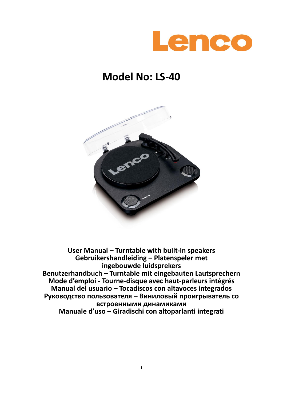

## **Model No: LS-40**



**User Manual – Turntable with built-in speakers Gebruikershandleiding – Platenspeler met ingebouwde luidsprekers Benutzerhandbuch – Turntable mit eingebauten Lautsprechern Mode d'emploi - Tourne-disque avec haut-parleurs intégrés Manual del usuario – Tocadiscos con altavoces integrados Руководство пользователя – Виниловый проигрыватель со встроенными динамиками Manuale d'uso – Giradischi con altoparlanti integrati**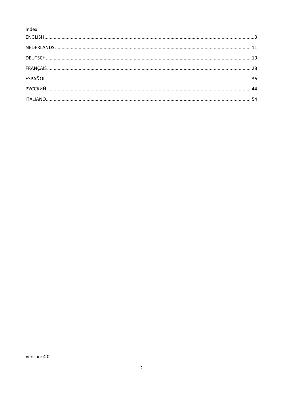Index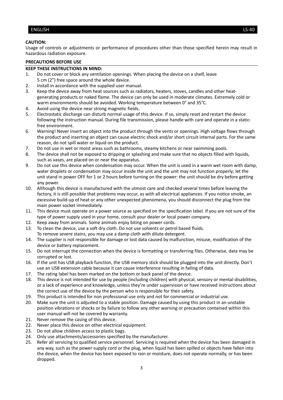#### <span id="page-2-0"></span>ENGLISH LS-40

#### **CAUTION:**

Usage of controls or adjustments or performance of procedures other than those specified herein may result in hazardous radiation exposure.

#### **PRECAUTIONS BEFORE USE**

#### **KEEP THESE INSTRUCTIONS IN MIND:**

- 1. Do not cover or block any ventilation openings. When placing the device on a shelf, leave 5 cm (2") free space around the whole device.
- 2. Install in accordance with the supplied user manual.
- 3. Keep the device away from heat sources such as radiators, heaters, stoves, candles and other heatgenerating products or naked flame. The device can only be used in moderate climates. Extremely cold or warm environments should be avoided. Working temperature between 0° and 35°C.
- 4. Avoid using the device near strong magnetic fields.
- 5. Electrostatic discharge can disturb normal usage of this device. If so, simply reset and restart the device following the instruction manual. During file transmission, please handle with care and operate in a staticfree environment.
- 6. Warning! Never insert an object into the product through the vents or openings. High voltage flows through the product and inserting an object can cause electric shock and/or short circuit internal parts. For the same reason, do not spill water or liquid on the product.
- 7. Do not use in wet or moist areas such as bathrooms, steamy kitchens or near swimming pools.
- 8. The device shall not be exposed to dripping or splashing and make sure that no objects filled with liquids, such as vases, are placed on or near the apparatus.
- 9. Do not use this device when condensation may occur. When the unit is used in a warm wet room with damp, water droplets or condensation may occur inside the unit and the unit may not function properly; let the unit stand in power OFF for 1 or 2 hours before turning on the power: the unit should be dry before getting any power.
- 10. Although this device is manufactured with the utmost care and checked several times before leaving the factory, it is still possible that problems may occur, as with all electrical appliances. If you notice smoke, an excessive build-up of heat or any other unexpected phenomena, you should disconnect the plug from the main power socket immediately.
- 11. This device must operate on a power source as specified on the specification label. If you are not sure of the type of power supply used in your home, consult your dealer or local power company.
- 12. Keep away from animals. Some animals enjoy biting on power cords.
- 13. To clean the device, use a soft dry cloth. Do not use solvents or petrol based fluids. To remove severe stains, you may use a damp cloth with dilute detergent.
- 14. The supplier is not responsible for damage or lost data caused by malfunction, misuse, modification of the device or battery replacement.
- 15. Do not interrupt the connection when the device is formatting or transferring files. Otherwise, data may be corrupted or lost.
- 16. If the unit has USB playback function, the USB memory stick should be plugged into the unit directly. Don't use an USB extension cable because it can cause interference resulting in failing of data.
- 17. The rating label has been marked on the bottom or back panel of the device.
- 18. This device is not intended for use by people (including children) with physical, sensory or mental disabilities, or a lack of experience and knowledge, unless they're under supervision or have received instructions about the correct use of the device by the person who is responsible for their safety.
- 19. This product is intended for non professional use only and not for commercial or industrial use.
- 20. Make sure the unit is adjusted to a stable position. Damage caused by using this product in an unstable position vibrations or shocks or by failure to follow any other warning or precaution contained within this user manual will not be covered by warranty.
- 21. Never remove the casing of this device.
- 22. Never place this device on other electrical equipment.
- 23. Do not allow children access to plastic bags.
- 24. Only use attachments/accessories specified by the manufacturer.
- 25. Refer all servicing to qualified service personnel. Servicing is required when the device has been damaged in any way, such as the power supply cord or the plug, when liquid has been spilled or objects have fallen into the device, when the device has been exposed to rain or moisture, does not operate normally, or has been dropped.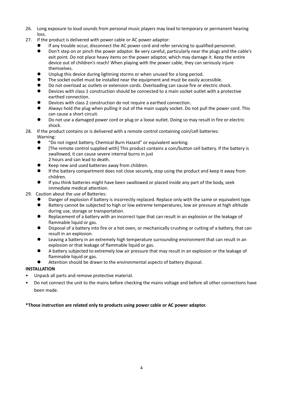- 26. Long exposure to loud sounds from personal music players may lead to temporary or permanent hearing loss.
- 27. If the product is delivered with power cable or AC power adaptor:
	- ⚫ If any trouble occur, disconnect the AC power cord and refer servicing to qualified personnel.
		- ⚫ Don't step on or pinch the power adaptor. Be very careful, particularly near the plugs and the cable's exit point. Do not place heavy items on the power adaptor, which may damage it. Keep the entire device out of children's reach! When playing with the power cable, they can seriously injure themselves.
	- Unplug this device during lightning storms or when unused for a long period.
	- The socket outlet must be installed near the equipment and must be easily accessible.
	- ⚫ Do not overload ac outlets or extension cords. Overloading can cause fire or electric shock.
	- Devices with class 1 construction should be connected to a main socket outlet with a protective earthed connection.
	- ⚫ Devices with class 2 construction do not require a earthed connection.
	- ⚫ Always hold the plug when pulling it out of the main supply socket. Do not pull the power cord. This can cause a short circuit.
	- ⚫ Do not use a damaged power cord or plug or a loose outlet. Doing so may result in fire or electric shock.
- 28. If the product contains or is delivered with a remote control containing coin/cell batteries:
	- Warning:
		- "Do not ingest battery, Chemical Burn Hazard" or equivalent working.
		- [The remote control supplied with] This product contains a coin/button cell battery. If the battery is swallowed, it can cause severe internal burns in just 2 hours and can lead to death.
		- ⚫ Keep new and used batteries away from children.
		- ⚫ If the battery compartment does not close securely, stop using the product and keep it away from children.
		- ⚫ If you think batteries might have been swallowed or placed inside any part of the body, seek immediate medical attention.
- 29. Caution about the use of Batteries:
	- Danger of explosion if battery is incorrectly replaced. Replace only with the same or equivalent type.
	- Battery cannot be subjected to high or low extreme temperatures, low air pressure at high altitude during use, storage or transportation.
	- Replacement of a battery with an incorrect type that can result in an explosion or the leakage of flammable liquid or gas.
	- ⚫ Disposal of a battery into fire or a hot oven, or mechanically crushing or cutting of a battery, that can result in an explosion.
	- Leaving a battery in an extremely high temperature surrounding environment that can result in an explosion or that leakage of flammable liquid or gas.
	- ⚫ A battery subjected to extremely low air pressure that may result in an explosion or the leakage of flammable liquid or gas.
	- ⚫ Attention should be drawn to the environmental aspects of battery disposal.

#### **INSTALLATION**

- Unpack all parts and remove protective material.
- Do not connect the unit to the mains before checking the mains voltage and before all other connections have been made.

#### **\*Those instruction are related only to products using power cable or AC power adaptor.**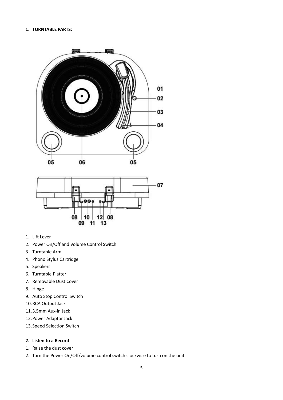#### **1. TURNTABLE PARTS:**





- 1. Lift Lever
- 2. Power On/Off and Volume Control Switch
- 3. Turntable Arm
- 4. Phono Stylus Cartridge
- 5. Speakers
- 6. Turntable Platter
- 7. Removable Dust Cover
- 8. Hinge
- 9. Auto Stop Control Switch
- 10.RCA Output Jack
- 11.3.5mm Aux-in Jack
- 12.Power Adaptor Jack
- 13.Speed Selection Switch

#### **2. Listen to a Record**

- 1. Raise the dust cover
- 2. Turn the Power On/Off/volume control switch clockwise to turn on the unit.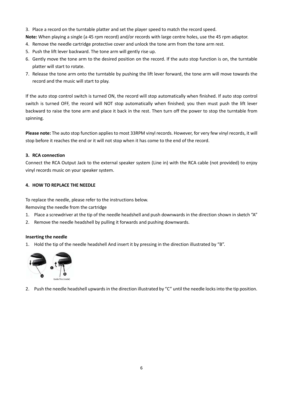3. Place a record on the turntable platter and set the player speed to match the record speed.

**Note:** When playing a single (a 45 rpm record) and/or records with large centre holes, use the 45 rpm adaptor.

- 4. Remove the needle cartridge protective cover and unlock the tone arm from the tone arm rest.
- 5. Push the lift lever backward. The tone arm will gently rise up.
- 6. Gently move the tone arm to the desired position on the record. If the auto stop function is on, the turntable platter will start to rotate.
- 7. Release the tone arm onto the turntable by pushing the lift lever forward, the tone arm will move towards the record and the music will start to play.

If the auto stop control switch is turned ON, the record will stop automatically when finished. If auto stop control switch is turned OFF, the record will NOT stop automatically when finished; you then must push the lift lever backward to raise the tone arm and place it back in the rest. Then turn off the power to stop the turntable from spinning.

**Please note:** The auto stop function applies to most 33RPM vinyl records. However, for very few vinyl records, it will stop before it reaches the end or it will not stop when it has come to the end of the record.

#### **3. RCA connection**

Connect the RCA Output Jack to the external speaker system (Line in) with the RCA cable (not provided) to enjoy vinyl records music on your speaker system.

#### **4. HOW TO REPLACE THE NEEDLE**

To replace the needle, please refer to the instructions below.

Removing the needle from the cartridge

- 1. Place a screwdriver at the tip of the needle headshell and push downwards in the direction shown in sketch "A"
- 2. Remove the needle headshell by pulling it forwards and pushing downwards.

#### **Inserting the needle**

1. Hold the tip of the needle headshell And insert it by pressing in the direction illustrated by "B".



2. Push the needle headshell upwards in the direction illustrated by "C" until the needle locks into the tip position.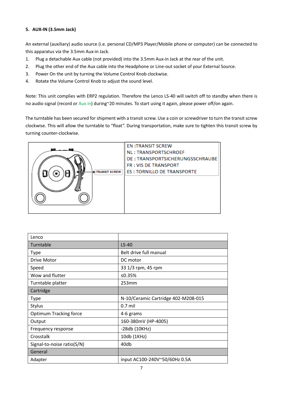#### **5. AUX-IN (3.5mm Jack)**

An external (auxiliary) audio source (i.e. personal CD/MP3 Player/Mobile phone or computer) can be connected to this apparatus via the 3.5mm Aux-in Jack.

- 1. Plug a detachable Aux cable (not provided) into the 3.5mm Aux-in Jack at the rear of the unit.
- 2. Plug the other end of the Aux cable into the Headphone or Line-out socket of your External Source.
- 3. Power On the unit by turning the Volume Control Knob clockwise.
- 4. Rotate the Volume Control Knob to adjust the sound level.

Note: This unit complies with ERP2 regulation. Therefore the Lenco LS-40 will switch off to standby when there is no audio signal (record or Aux in) during~20 minutes. To start using it again, please power off/on again.

The turntable has been secured for shipment with a transit screw. Use a coin or screwdriver to turn the transit screw clockwise. This will allow the turntable to "float". During transportation, make sure to tighten this transit screw by turning counter-clockwise.



| Lenco                         |                                     |
|-------------------------------|-------------------------------------|
| Turntable                     | $LS-40$                             |
| <b>Type</b>                   | Belt drive full manual              |
| Drive Motor                   | DC motor                            |
| Speed                         | 33 1/3 rpm, 45 rpm                  |
| Wow and flutter               | ≤0.35%                              |
| Turntable platter             | 253mm                               |
| Cartridge                     |                                     |
| <b>Type</b>                   | N-10/Ceramic Cartridge 402-M208-015 |
| Stylus                        | $0.7$ mil                           |
| <b>Optimum Tracking force</b> | 4-6 grams                           |
| Output                        | 160-380mV (HP-4005)                 |
| Frequency response            | -28db (10KHz)                       |
| Crosstalk                     | 10db (1KHz)                         |
| Signal-to-noise ratio(S/N)    | 40db                                |
| General                       |                                     |
| Adapter                       | input AC100-240V~50/60Hz 0.5A       |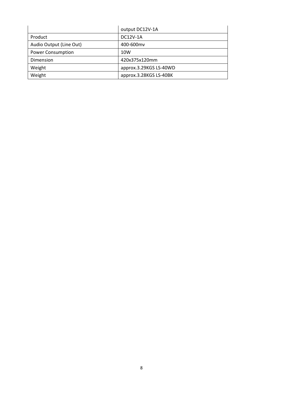|                          | output DC12V-1A        |
|--------------------------|------------------------|
| Product                  | DC12V-1A               |
| Audio Output (Line Out)  | 400-600mv              |
| <b>Power Consumption</b> | 10W                    |
| Dimension                | 420x375x120mm          |
| Weight                   | approx.3.29KGS LS-40WD |
| Weight                   | approx.3.28KGS LS-40BK |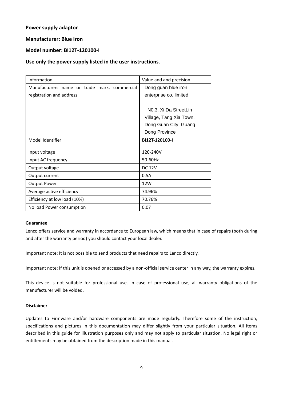#### **Power supply adaptor**

#### **Manufacturer: Blue Iron**

#### **Model number: BI12T-120100-I**

#### **Use only the power supply listed in the user instructions.**

| Information                                  | Value and and precision            |
|----------------------------------------------|------------------------------------|
| Manufacturers name or trade mark, commercial | Dong guan blue iron                |
| registration and address                     | enterprise co, limited             |
|                                              |                                    |
|                                              | N <sub>0</sub> .3. Xi Da StreetLin |
|                                              | Village, Tang Xia Town,            |
|                                              | Dong Guan City, Guang              |
|                                              | Dong Province                      |
| Model Identifier                             | BI12T-120100-I                     |
| Input voltage                                | 120-240V                           |
| Input AC frequency                           | 50-60Hz                            |
| Output voltage                               | <b>DC 12V</b>                      |
| Output current                               | 0.5A                               |
| <b>Output Power</b>                          | 12W                                |
| Average active efficiency                    | 74.96%                             |
| Efficiency at low load (10%)                 | 70.76%                             |
| No load Power consumption                    | 0.07                               |

#### **Guarantee**

Lenco offers service and warranty in accordance to European law, which means that in case of repairs (both during and after the warranty period) you should contact your local dealer.

Important note: It is not possible to send products that need repairs to Lenco directly.

Important note: If this unit is opened or accessed by a non-official service center in any way, the warranty expires.

This device is not suitable for professional use. In case of professional use, all warranty obligations of the manufacturer will be voided.

#### **Disclaimer**

Updates to Firmware and/or hardware components are made regularly. Therefore some of the instruction, specifications and pictures in this documentation may differ slightly from your particular situation. All items described in this guide for illustration purposes only and may not apply to particular situation. No legal right or entitlements may be obtained from the description made in this manual.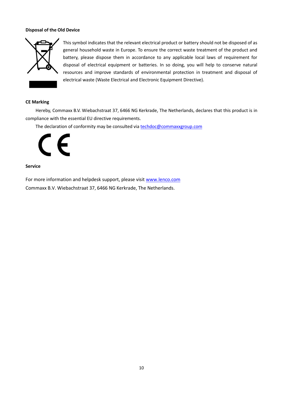#### **Disposal of the Old Device**



This symbol indicates that the relevant electrical product or battery should not be disposed of as general household waste in Europe. To ensure the correct waste treatment of the product and battery, please dispose them in accordance to any applicable local laws of requirement for disposal of electrical equipment or batteries. In so doing, you will help to conserve natural resources and improve standards of environmental protection in treatment and disposal of electrical waste (Waste Electrical and Electronic Equipment Directive).

#### **CE Marking**

Hereby, Commaxx B.V. Wiebachstraat 37, 6466 NG Kerkrade, The Netherlands, declares that this product is in compliance with the essential EU directive requirements.

The declaration of conformity may be consulted vi[a techdoc@commaxxgroup.com](mailto:techdoc@commaxxgroup.com)



#### **Service**

For more information and helpdesk support, please visit [www.lenco.com](http://www.lenco.com/) Commaxx B.V. Wiebachstraat 37, 6466 NG Kerkrade, The Netherlands.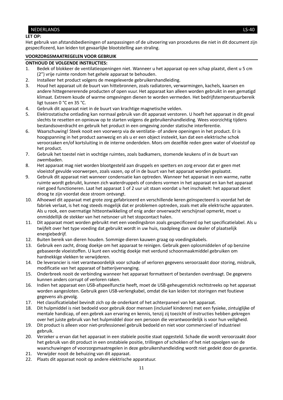#### <span id="page-10-0"></span>NEDERLANDS LS-40

#### **LET OP:**

Het gebruik van afstandsbedieningen of aanpassingen of de uitvoering van procedures die niet in dit document zijn gespecificeerd, kan leiden tot gevaarlijke blootstelling aan straling.

#### **VOORZORGSMAATREGELEN VOOR GEBRUIK**

#### **ONTHOUD DE VOLGENDE INSTRUCTIES:**

- 1. Bedek of blokkeer de ventilatieopeningen niet. Wanneer u het apparaat op een schap plaatst, dient u 5 cm (2") vrije ruimte rondom het gehele apparaat te behouden.
- 2. Installeer het product volgens de meegeleverde gebruikershandleiding.
- 3. Houd het apparaat uit de buurt van hittebronnen, zoals radiatoren, verwarmingen, kachels, kaarsen en andere hittegenererende producten of open vuur. Het apparaat kan alleen worden gebruikt in een gematigd klimaat. Extreem koude of warme omgevingen dienen te worden vermeden. Het bedrijfstemperatuurbereik ligt tussen 0 °C en 35 °C.
- 4. Gebruik dit apparaat niet in de buurt van krachtige magnetische velden.
- 5. Elektrostatische ontlading kan normaal gebruik van dit apparaat verstoren. U hoeft het apparaat in dit geval slechts te resetten en opnieuw op te starten volgens de gebruikershandleiding. Wees voorzichtig tijdens bestandsoverdracht en gebruik het product in een omgeving zonder statische interferentie.
- 6. Waarschuwing! Steek nooit een voorwerp via de ventilatie- of andere openingen in het product. Er is hoogspanning in het product aanwezig en als u er een object insteekt, kan dat een elektrische schok veroorzaken en/of kortsluiting in de interne onderdelen. Mors om dezelfde reden geen water of vloeistof op het product.
- 7. Gebruik het toestel niet in vochtige ruimtes, zoals badkamers, stomende keukens of in de buurt van zwembaden.
- 8. Het apparaat mag niet worden blootgesteld aan druppels en spetters en zorg ervoor dat er geen met vloeistof gevulde voorwerpen, zoals vazen, op of in de buurt van het apparaat worden geplaatst.
- 9. Gebruik dit apparaat niet wanneer condensatie kan optreden. Wanneer het apparaat in een warme, natte ruimte wordt gebruikt, kunnen zich waterdruppels of condens vormen in het apparaat en kan het apparaat niet goed functioneren. Laat het apparaat 1 of 2 uur uit staan voordat u het inschakelt: het apparaat dient droog te zijn voordat deze stroom ontvangt.
- 10. Alhoewel dit apparaat met grote zorg gefabriceerd en verschillende keren geïnspecteerd is voordat het de fabriek verlaat, is het nog steeds mogelijk dat er problemen optreden, zoals met alle elektrische apparaten. Als u rook, een overmatige hitteontwikkeling of enig ander onverwacht verschijnsel opmerkt, moet u onmiddellijk de stekker van het netsnoer uit het stopcontact halen.
- 11. Dit apparaat moet worden gebruikt met een voedingsbron zoals gespecificeerd op het specificatielabel. Als u twijfelt over het type voeding dat gebruikt wordt in uw huis, raadpleeg dan uw dealer of plaatselijk energiebedrijf.
- 12. Buiten bereik van dieren houden. Sommige dieren kauwen graag op voedingskabels.
- 13. Gebruik een zacht, droog doekje om het apparaat te reinigen. Gebruik geen oplosmiddelen of op benzine gebaseerde vloeistoffen. U kunt een vochtig doekje met verdund schoonmaakmiddel gebruiken om hardnekkige vlekken te verwijderen.
- 14. De leverancier is niet verantwoordelijk voor schade of verloren gegevens veroorzaakt door storing, misbruik, modificatie van het apparaat of batterijvervanging.
- 15. Onderbreek nooit de verbinding wanneer het apparaat formatteert of bestanden overdraagt. De gegevens kunnen anders corrupt of verloren raken.
- 16. Indien het apparaat een USB-afspeelfunctie heeft, moet de USB-geheugenstick rechtstreeks op het apparaat worden aangesloten. Gebruik geen USB-verlengkabel, omdat die kan leiden tot storingen met foutieve gegevens als gevolg.
- 17. Het classificatielabel bevindt zich op de onderkant of het achterpaneel van het apparaat.
- 18. Dit hulpmiddel is niet bedoeld voor gebruik door mensen (inclusief kinderen) met een fysieke, zintuiglijke of mentale handicap, of een gebrek aan ervaring en kennis, tenzij zij toezicht of instructies hebben gekregen over het juiste gebruik van het hulpmiddel door een persoon die verantwoordelijk is voor hun veiligheid.
- 19. Dit product is alleen voor niet-professioneel gebruik bedoeld en niet voor commercieel of industrieel gebruik.
- 20. Verzeker u ervan dat het apparaat in een stabiele positie staat opgesteld. Schade die wordt veroorzaakt door het gebruik van dit product in een onstabiele positie, trillingen of schokken of het niet opvolgen van de waarschuwingen of voorzorgsmaatregelen in deze gebruikershandleiding wordt niet gedekt door de garantie.
- 21. Verwijder nooit de behuizing van dit apparaat.
- 22. Plaats dit apparaat nooit op andere elektrische apparatuur.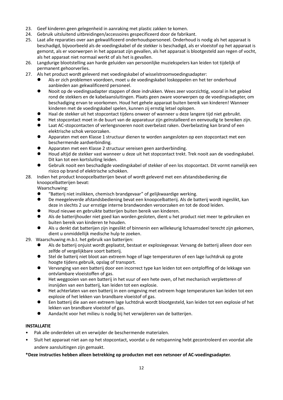- 23. Geef kinderen geen gelegenheid in aanraking met plastic zakken te komen.
- 24. Gebruik uitsluitend uitbreidingen/accessoires gespecificeerd door de fabrikant.
- 25. Laat alle reparaties over aan gekwalificeerd onderhoudspersoneel. Onderhoud is nodig als het apparaat is beschadigd, bijvoorbeeld als de voedingskabel of de stekker is beschadigd, als er vloeistof op het apparaat is gemorst, als er voorwerpen in het apparaat zijn gevallen, als het apparaat is blootgesteld aan regen of vocht, als het apparaat niet normaal werkt of als het is gevallen.
- 26. Langdurige blootstelling aan harde geluiden van persoonlijke muziekspelers kan leiden tot tijdelijk of permanent gehoorverlies.
- 27. Als het product wordt geleverd met voedingskabel of wisselstroomvoedingsadapter:
	- ⚫ Als er zich problemen voordoen, moet u de voedingskabel loskoppelen en het ter onderhoud aanbieden aan gekwalificeerd personeel.
	- Nooit op de voedingsadapter stappen of deze indrukken. Wees zeer voorzichtig, vooral in het gebied rond de stekkers en de kabelaansluitingen. Plaats geen zware voorwerpen op de voedingsadapter, om beschadiging ervan te voorkomen. Houd het gehele apparaat buiten bereik van kinderen! Wanneer kinderen met de voedingskabel spelen, kunnen zij ernstig letsel oplopen.
	- ⚫ Haal de stekker uit het stopcontact tijdens onweer of wanneer u deze langere tijd niet gebruikt.
	- ⚫ Het stopcontact moet in de buurt van de apparatuur zijn geïnstalleerd en eenvoudig te bereiken zijn.
	- ⚫ Laat AC-stopcontacten of verlengsnoeren nooit overbelast raken. Overbelasting kan brand of een elektrische schok veroorzaken.
	- ⚫ Apparaten met een Klasse 1 structuur dienen te worden aangesloten op een stopcontact met een beschermende aardverbinding.
	- ⚫ Apparaten met een Klasse 2 structuur vereisen geen aardverbinding.
	- ⚫ Houd altijd de stekker vast wanneer u deze uit het stopcontact trekt. Trek nooit aan de voedingskabel. Dit kan tot een kortsluiting leiden.
	- ⚫ Gebruik nooit een beschadigde voedingskabel of stekker of een los stopcontact. Dit vormt namelijk een risico op brand of elektrische schokken.

#### 28. Indien het product knoopcelbatterijen bevat of wordt geleverd met een afstandsbediening die knoopcelbatterijen bevat:

Waarschuwing:

- ⚫ "Batterij niet inslikken, chemisch brandgevaar" of gelijkwaardige werking.
- ⚫ De meegeleverde afstandsbediening bevat een knoopcelbatterij. Als de batterij wordt ingeslikt, kan deze in slechts 2 uur ernstige interne brandwonden veroorzaken en tot de dood leiden.
- ⚫ Houd nieuwe en gebruikte batterijen buiten bereik van kinderen.
- ⚫ Als de batterijhouder niet goed kan worden gesloten, dient u het product niet meer te gebruiken en buiten bereik van kinderen te houden.
- ⚫ Als u denkt dat batterijen zijn ingeslikt of binnenin een willekeurig lichaamsdeel terecht zijn gekomen, dient u onmiddellijk medische hulp te zoeken.
- 29. Waarschuwing m.b.t. het gebruik van batterijen:
	- ⚫ Als de batterij onjuist wordt geplaatst, bestaat er explosiegevaar. Vervang de batterij alleen door een zelfde of vergelijkbare soort batterij.
	- Stel de batterij niet bloot aan extreem hoge of lage temperaturen of een lage luchtdruk op grote hoogte tijdens gebruik, opslag of transport.
	- ⚫ Vervanging van een batterij door een incorrect type kan leiden tot een ontploffing of de lekkage van ontvlambare vloeistoffen of gas.
	- ⚫ Het weggooien van een batterij in het vuur of een hete oven, of het mechanisch verpletteren of insnijden van een batterij, kan leiden tot een explosie.
	- ⚫ Het achterlaten van een batterij in een omgeving met extreem hoge temperaturen kan leiden tot een explosie of het lekken van brandbare vloeistof of gas.
	- ⚫ Een batterij die aan een extreem lage luchtdruk wordt blootgesteld, kan leiden tot een explosie of het lekken van brandbare vloeistof of gas.
	- ⚫ Aandacht voor het milieu is nodig bij het verwijderen van de batterijen.

#### **INSTALLATIE**

- Pak alle onderdelen uit en verwijder de beschermende materialen.
- Sluit het apparaat niet aan op het stopcontact, voordat u de netspanning hebt gecontroleerd en voordat alle andere aansluitingen zijn gemaakt.

#### **\*Deze instructies hebben alleen betrekking op producten met een netsnoer of AC-voedingsadapter.**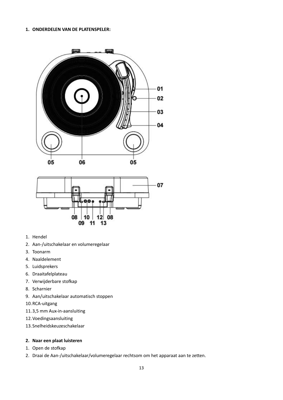#### **1. ONDERDELEN VAN DE PLATENSPELER:**





- 1. Hendel
- 2. Aan-/uitschakelaar en volumeregelaar
- 3. Toonarm
- 4. Naaldelement
- 5. Luidsprekers
- 6. Draaitafelplateau
- 7. Verwijderbare stofkap
- 8. Scharnier
- 9. Aan/uitschakelaar automatisch stoppen
- 10.RCA-uitgang
- 11.3,5 mm Aux-in-aansluiting
- 12.Voedingsaansluiting
- 13.Snelheidskeuzeschakelaar

#### **2. Naar een plaat luisteren**

- 1. Open de stofkap
- 2. Draai de Aan-/uitschakelaar/volumeregelaar rechtsom om het apparaat aan te zetten.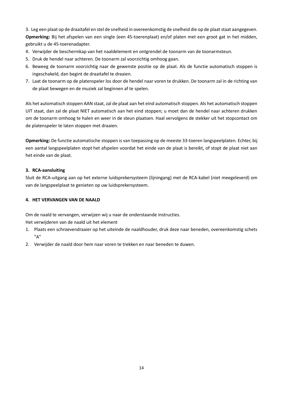3. Leg een plaat op de draaitafel en stel de snelheid in overeenkomstig de snelheid die op de plaat staat aangegeven. **Opmerking:** Bij het afspelen van een single (een 45-toerenplaat) en/of platen met een groot gat in het midden, gebruikt u de 45-toerenadapter.

- 4. Verwijder de beschermkap van het naaldelement en ontgrendel de toonarm van de toonarmsteun.
- 5. Druk de hendel naar achteren. De toonarm zal voorzichtig omhoog gaan.
- 6. Beweeg de toonarm voorzichtig naar de gewenste positie op de plaat. Als de functie automatisch stoppen is ingeschakeld, dan begint de draaitafel te draaien.
- 7. Laat de toonarm op de platenspeler los door de hendel naar voren te drukken. De toonarm zal in de richting van de plaat bewegen en de muziek zal beginnen af te spelen.

Als het automatisch stoppen AAN staat, zal de plaat aan het eind automatisch stoppen. Als het automatisch stoppen UIT staat, dan zal de plaat NIET automatisch aan het eind stoppen; u moet dan de hendel naar achteren drukken om de toonarm omhoog te halen en weer in de steun plaatsen. Haal vervolgens de stekker uit het stopcontact om de platenspeler te laten stoppen met draaien.

**Opmerking:** De functie automatische stoppen is van toepassing op de meeste 33-toeren langspeelplaten. Echter, bij een aantal langspeelplaten stopt het afspelen voordat het einde van de plaat is bereikt, of stopt de plaat niet aan het einde van de plaat.

#### **3. RCA-aansluiting**

Sluit de RCA-uitgang aan op het externe luidsprekersysteem (lijningang) met de RCA-kabel (niet meegeleverd) om van de langspeelplaat te genieten op uw luidsprekersysteem.

#### **4. HET VERVANGEN VAN DE NAALD**

Om de naald te vervangen, verwijzen wij u naar de onderstaande instructies.

Het verwijderen van de naald uit het element

- 1. Plaats een schroevendraaier op het uiteinde de naaldhouder, druk deze naar beneden, overeenkomstig schets "A"
- 2. Verwijder de naald door hem naar voren te trekken en naar beneden te duwen.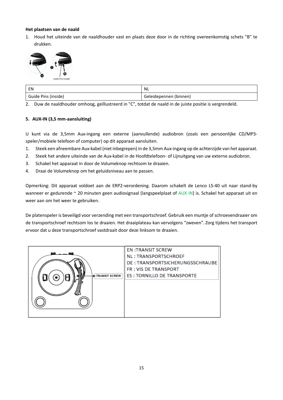#### **Het plaatsen van de naald**

1. Houd het uiteinde van de naaldhouder vast en plaats deze door in de richting overeenkomstig schets "B" te drukken.



| EN                  | <b>NL</b>              |
|---------------------|------------------------|
| Guide Pins (inside) | Geleidepennen (binnen) |

2. Duw de naaldhouder omhoog, geïllustreerd in "C", totdat de naald in de juiste positie is vergrendeld.

#### **5. AUX-IN (3,5 mm-aansluiting)**

U kunt via de 3,5mm Aux-ingang een externe (aanvullende) audiobron (zoals een persoonlijke CD/MP3 speler/mobiele telefoon of computer) op dit apparaat aansluiten.

- 1. Steek een afneembare Aux-kabel (niet inbegrepen) in de 3,5mm Aux-ingang op de achterzijde van het apparaat.
- 2. Steek het andere uiteinde van de Aux-kabel in de Hoofdtelefoon- of Lijnuitgang van uw externe audiobron.
- 3. Schakel het apparaat in door de Volumeknop rechtsom te draaien.
- 4. Draai de Volumeknop om het geluidsniveau aan te passen.

Opmerking: Dit apparaat voldoet aan de ERP2-verordening. Daarom schakelt de Lenco LS-40 uit naar stand-by wanneer er gedurende ~ 20 minuten geen audiosignaal (langspeelplaat of AUX IN) is. Schakel het apparaat uit en weer aan om het weer te gebruiken.

De platenspeler is beveiligd voor verzending met een transportschroef. Gebruik een muntje of schroevendraaier om de transportschroef rechtsom los te draaien. Het draaiplateau kan vervolgens "zweven". Zorg tijdens het transport ervoor dat u deze transportschroef vastdraait door deze linksom te draaien.

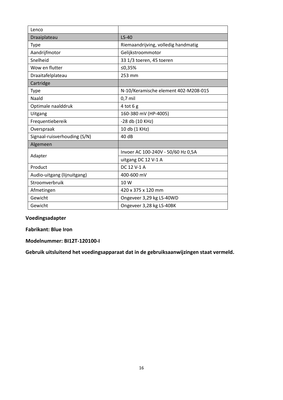| Lenco                        |                                      |
|------------------------------|--------------------------------------|
| Draaiplateau                 | $LS-40$                              |
| <b>Type</b>                  | Riemaandrijving, volledig handmatig  |
| Aandrijfmotor                | Gelijkstroommotor                    |
| Snelheid                     | 33 1/3 toeren, 45 toeren             |
| Wow en flutter               | ≤0,35%                               |
| Draaitafelplateau            | 253 mm                               |
| Cartridge                    |                                      |
| <b>Type</b>                  | N-10/Keramische element 402-M208-015 |
| Naald                        | $0,7$ mil                            |
| Optimale naalddruk           | $4$ tot $6g$                         |
| Uitgang                      | 160-380 mV (HP-4005)                 |
| Frequentiebereik             | -28 db (10 KHz)                      |
| Overspraak                   | 10 db (1 KHz)                        |
| Signaal-ruisverhouding (S/N) | 40 dB                                |
| Algemeen                     |                                      |
| Adapter                      | Invoer AC 100-240V - 50/60 Hz 0,5A   |
|                              | uitgang DC 12 V-1 A                  |
| Product                      | DC 12 V-1 A                          |
| Audio-uitgang (lijnuitgang)  | 400-600 mV                           |
| Stroomverbruik               | 10 W                                 |
| Afmetingen                   | 420 x 375 x 120 mm                   |
| Gewicht                      | Ongeveer 3,29 kg LS-40WD             |
| Gewicht                      | Ongeveer 3,28 kg LS-40BK             |

#### **Voedingsadapter**

**Fabrikant: Blue Iron**

**Modelnummer: BI12T-120100-I**

**Gebruik uitsluitend het voedingsapparaat dat in de gebruiksaanwijzingen staat vermeld.**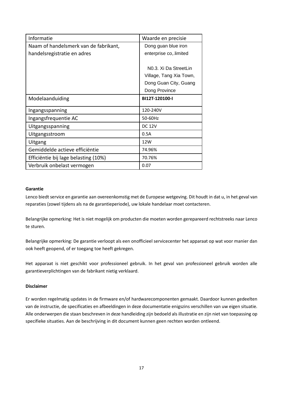| Informatie                            | Waarde en precisie                 |
|---------------------------------------|------------------------------------|
| Naam of handelsmerk van de fabrikant, | Dong guan blue iron                |
| handelsregistratie en adres           | enterprise co, limited             |
|                                       |                                    |
|                                       | N <sub>0</sub> .3. Xi Da StreetLin |
|                                       | Village, Tang Xia Town,            |
|                                       | Dong Guan City, Guang              |
|                                       | Dong Province                      |
| Modelaanduiding                       | BI12T-120100-I                     |
| Ingangsspanning                       | 120-240V                           |
| Ingangsfrequentie AC                  | 50-60Hz                            |
| Uitgangsspanning                      | <b>DC 12V</b>                      |
| Uitgangsstroom                        | 0.5A                               |
| Uitgang                               | 12W                                |
| Gemiddelde actieve efficiëntie        | 74.96%                             |
| Efficiëntie bij lage belasting (10%)  | 70.76%                             |
| Verbruik onbelast vermogen            | 0.07                               |

#### **Garantie**

Lenco biedt service en garantie aan overeenkomstig met de Europese wetgeving. Dit houdt in dat u, in het geval van reparaties (zowel tijdens als na de garantieperiode), uw lokale handelaar moet contacteren.

Belangrijke opmerking: Het is niet mogelijk om producten die moeten worden gerepareerd rechtstreeks naar Lenco te sturen.

Belangrijke opmerking: De garantie verloopt als een onofficieel servicecenter het apparaat op wat voor manier dan ook heeft geopend, of er toegang toe heeft gekregen.

Het apparaat is niet geschikt voor professioneel gebruik. In het geval van professioneel gebruik worden alle garantieverplichtingen van de fabrikant nietig verklaard.

#### **Disclaimer**

Er worden regelmatig updates in de firmware en/of hardwarecomponenten gemaakt. Daardoor kunnen gedeelten van de instructie, de specificaties en afbeeldingen in deze documentatie enigszins verschillen van uw eigen situatie. Alle onderwerpen die staan beschreven in deze handleiding zijn bedoeld als illustratie en zijn niet van toepassing op specifieke situaties. Aan de beschrijving in dit document kunnen geen rechten worden ontleend.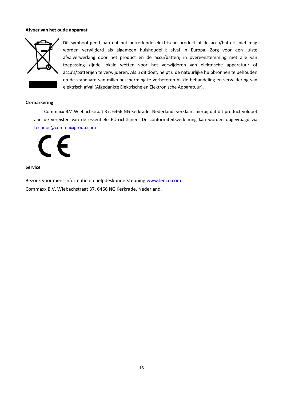#### **Afvoer van het oude apparaat**



Dit symbool geeft aan dat het betreffende elektrische product of de accu/batterij niet mag worden verwijderd als algemeen huishoudelijk afval in Europa. Zorg voor een juiste afvalverwerking door het product en de accu/batterij in overeenstemming met alle van toepassing zijnde lokale wetten voor het verwijderen van elektrische apparatuur of accu's/batterijen te verwijderen. Als u dit doet, helpt u de natuurlijke hulpbronnen te behouden en de standaard van milieubescherming te verbeteren bij de behandeling en verwijdering van elektrisch afval (Afgedankte Elektrische en Elektronische Apparatuur).

#### **CE-markering**

Commaxx B.V. Wiebachstraat 37, 6466 NG Kerkrade, Nederland, verklaart hierbij dat dit product voldoet aan de vereisten van de essentiële EU-richtlijnen. De conformiteitsverklaring kan worden opgevraagd via [techdoc@commaxxgroup.com](mailto:techdoc@commaxxgroup.com)

E

#### **Service**

Bezoek voor meer informatie en helpdeskondersteuning [www.lenco.com](http://www.lenco.com/) Commaxx B.V. Wiebachstraat 37, 6466 NG Kerkrade, Nederland.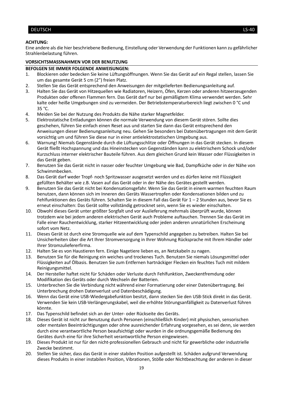#### <span id="page-18-0"></span>DEUTSCH LS-40

#### **ACHTUNG:**

Eine andere als die hier beschriebene Bedienung, Einstellung oder Verwendung der Funktionen kann zu gefährlicher Strahlenbelastung führen.

#### **VORSICHTSMASSNAHMEN VOR DER BENUTZUNG**

#### **BEFOLGEN SIE IMMER FOLGENDE ANWEISUNGEN:**

- 1. Blockieren oder bedecken Sie keine Lüftungsöffnungen. Wenn Sie das Gerät auf ein Regal stellen, lassen Sie um das gesamte Gerät 5 cm (2") freien Platz.
- 2. Stellen Sie das Gerät entsprechend den Anweisungen der mitgelieferten Bedienungsanleitung auf.
- 3. Halten Sie das Gerät von Hitzequellen wie Radiatoren, Heizern, Öfen, Kerzen oder anderen hitzeerzeugenden Produkten oder offenen Flammen fern. Das Gerät darf nur bei gemäßigtem Klima verwendet werden. Sehr kalte oder heiße Umgebungen sind zu vermeiden. Der Betriebstemperaturbereich liegt zwischen 0 °C und 35 °C.
- 4. Meiden Sie bei der Nutzung des Produkts die Nähe starker Magnetfelder.
- 5. Elektrostatische Entladungen können die normale Verwendung von diesem Gerät stören. Sollte dies geschehen, führen Sie einfach einen Reset aus und starten Sie dann das Gerät entsprechend den Anweisungen dieser Bedienungsanleitung neu. Gehen Sie besonders bei Datenübertragungen mit dem Gerät vorsichtig um und führen Sie diese nur in einer antielektrostatischen Umgebung aus.
- 6. Warnung! Niemals Gegenstände durch die Lüftungsschlitze oder Öffnungen in das Gerät stecken. In diesem Gerät fließt Hochspannung und das Hineinstecken von Gegenständen kann zu elektrischem Schock und/oder Kurzschluss interner elektrischer Bauteile führen. Aus dem gleichen Grund kein Wasser oder Flüssigkeiten in das Gerät geben.
- 7. Benutzen Sie das Gerät nicht in nasser oder feuchter Umgebung wie Bad, Dampfküche oder in der Nähe von Schwimmbecken.
- 8. Das Gerät darf weder Tropf- noch Spritzwasser ausgesetzt werden und es dürfen keine mit Flüssigkeit gefüllten Behälter wie z.B. Vasen auf das Gerät oder in der Nähe des Gerätes gestellt werden.
- 9. Benutzen Sie das Gerät nicht bei Kondensationsgefahr. Wenn Sie das Gerät in einem warmen feuchten Raum benutzen, dann können sich im Inneren des Geräts Wassertropfen oder Kondensationen bilden und zu Fehlfunktionen des Geräts führen. Schalten Sie in diesem Fall das Gerät für 1 – 2 Stunden aus, bevor Sie es erneut einschalten: Das Gerät sollte vollständig getrocknet sein, wenn Sie es wieder einschalten.
- 10. Obwohl dieses Gerät unter größter Sorgfalt und vor Auslieferung mehrmals überprüft wurde, können trotzdem wie bei jedem anderen elektrischen Gerät auch Probleme auftauchen. Trennen Sie das Gerät im Falle einer Rauchentwicklung, starker Hitzeentwicklung oder jeden anderen unnatürlichen Erscheinung sofort vom Netz.
- 11. Dieses Gerät ist durch eine Stromquelle wie auf dem Typenschild angegeben zu betreiben. Halten Sie bei Unsicherheiten über die Art Ihrer Stromversorgung in Ihrer Wohnung Rücksprache mit Ihrem Händler oder Ihrer Stromzuliefererfirma.
- 12. Halten Sie es von Haustieren fern. Einige Nagetiere lieben es, an Netzkabeln zu nagen.
- 13. Benutzen Sie für die Reinigung ein weiches und trockenes Tuch. Benutzen Sie niemals Lösungsmittel oder Flüssigkeiten auf Ölbasis. Benutzen Sie zum Entfernen hartnäckiger Flecken ein feuchtes Tuch mit mildem Reinigungsmittel.
- 14. Der Hersteller haftet nicht für Schäden oder Verluste durch Fehlfunktion, Zweckentfremdung oder Modifikation des Geräts oder durch Wechseln der Batterien.
- 15. Unterbrechen Sie die Verbindung nicht während einer Formatierung oder einer Datenübertragung. Bei Unterbrechung drohen Datenverlust und Datenbeschädigung.
- 16. Wenn das Gerät eine USB-Wiedergabefunktion besitzt, dann stecken Sie den USB-Stick direkt in das Gerät. Verwenden Sie kein USB-Verlängerungskabel, weil die erhöhte Störungsanfälligkeit zu Datenverlust führen könnte.
- 17. Das Typenschild befindet sich an der Unter- oder Rückseite des Geräts.
- 18. Dieses Gerät ist nicht zur Benutzung durch Personen (einschließlich Kinder) mit physischen, sensorischen oder mentalen Beeinträchtigungen oder ohne ausreichender Erfahrung vorgesehen, es sei denn, sie werden durch eine verantwortliche Person beaufsichtigt oder wurden in die ordnungsgemäße Bedienung des Gerätes durch eine für ihre Sicherheit verantwortliche Person eingewiesen.
- 19. Dieses Produkt ist nur für den nicht-professionellen Gebrauch und nicht für gewerbliche oder industrielle Zwecke bestimmt.
- 20. Stellen Sie sicher, dass das Gerät in einer stabilen Position aufgestellt ist. Schäden aufgrund Verwendung dieses Produkts in einer instabilen Position, Vibrationen, Stöße oder Nichtbeachtung der anderen in dieser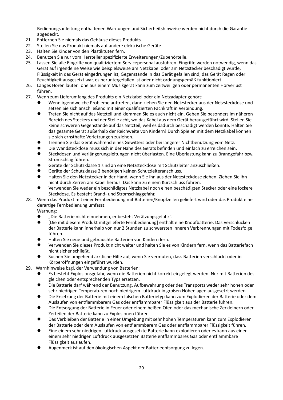Bedienungsanleitung enthaltenen Warnungen und Sicherheitshinweise werden nicht durch die Garantie abgedeckt.

- 21. Entfernen Sie niemals das Gehäuse dieses Produkts.
- 22. Stellen Sie das Produkt niemals auf andere elektrische Geräte.
- 23. Halten Sie Kinder von den Plastiktüten fern.
- 24. Benutzen Sie nur vom Hersteller spezifizierte Erweiterungen/Zubehörteile.
- 25. Lassen Sie alle Eingriffe von qualifiziertem Servicepersonal ausführen. Eingriffe werden notwendig, wenn das Gerät auf irgendeine Weise wie beispielsweise am Netzkabel oder am Netzstecker beschädigt wurde, Flüssigkeit in das Gerät eingedrungen ist, Gegenstände in das Gerät gefallen sind, das Gerät Regen oder Feuchtigkeit ausgesetzt war, es heruntergefallen ist oder nicht ordnungsgemäß funktioniert.
- 26. Langes Hören lauter Töne aus einem Musikgerät kann zum zeitweiligen oder permanenten Hörverlust führen.
- 27. Wenn zum Lieferumfang des Produkts ein Netzkabel oder ein Netzadapter gehört:
	- ⚫ Wenn irgendwelche Probleme auftreten, dann ziehen Sie den Netzstecker aus der Netzsteckdose und setzen Sie sich anschließend mit einer qualifizierten Fachkraft in Verbindung.
	- ⚫ Treten Sie nicht auf das Netzteil und klemmen Sie es auch nicht ein. Geben Sie besonders im näheren Bereich des Steckers und der Stelle acht, wo das Kabel aus dem Gerät herausgeführt wird. Stellen Sie keine schweren Gegenstände auf das Netzteil, weil es dadurch beschädigt werden könnte. Halten Sie das gesamte Gerät außerhalb der Reichweite von Kindern! Durch Spielen mit dem Netzkabel können sie sich ernsthafte Verletzungen zuziehen.
	- ⚫ Trennen Sie das Gerät während eines Gewitters oder bei längerer Nichtbenutzung vom Netz.
	- ⚫ Die Wandsteckdose muss sich in der Nähe des Geräts befinden und einfach zu erreichen sein.
	- ⚫ Steckdosen und Verlängerungsleitungen nicht überlasten. Eine Überlastung kann zu Brandgefahr bzw. Stromschlag führen.
	- ⚫ Geräte der Schutzklasse 1 sind an eine Netzsteckdose mit Schutzleiter anzuschließen.
	- ⚫ Geräte der Schutzklasse 2 benötigen keinen Schutzleiteranschluss.
	- ⚫ Halten Sie den Netzstecker in der Hand, wenn Sie ihn aus der Netzsteckdose ziehen. Ziehen Sie ihn nicht durch Zerren am Kabel heraus. Das kann zu einem Kurzschluss führen.
	- ⚫ Verwenden Sie weder ein beschädigtes Netzkabel noch einen beschädigten Stecker oder eine lockere Steckdose. Es besteht Brand- und Stromschlaggefahr.

#### 28. Wenn das Produkt mit einer Fernbedienung mit Batterien/Knopfzellen geliefert wird oder das Produkt eine derartige Fernbedienung umfasst:

Warnung:

- ⚫ "Die Batterie nicht einnehmen, er besteht Verätzungsgefahr".
- ⚫ [Die mit diesem Produkt mitgelieferte Fernbedienung] enthält eine Knopfbatterie. Das Verschlucken der Batterie kann innerhalb von nur 2 Stunden zu schwersten inneren Verbrennungen mit Todesfolge führen.
- ⚫ Halten Sie neue und gebrauchte Batterien von Kindern fern.
- ⚫ Verwenden Sie dieses Produkt nicht weiter und halten Sie es von Kindern fern, wenn das Batteriefach nicht sicher schließt.
- ⚫ Suchen Sie umgehend ärztliche Hilfe auf, wenn Sie vermuten, dass Batterien verschluckt oder in Körperöffnungen eingeführt wurden.
- 29. Warnhinweise bzgl. der Verwendung von Batterien:
	- ⚫ Es besteht Explosionsgefahr, wenn die Batterien nicht korrekt eingelegt werden. Nur mit Batterien des gleichen oder entsprechenden Typs ersetzen.
	- ⚫ Die Batterie darf während der Benutzung, Aufbewahrung oder des Transports weder sehr hohen oder sehr niedrigen Temperaturen noch niedrigem Luftdruck in großen Höhenlagen ausgesetzt werden.
	- ⚫ Die Ersetzung der Batterie mit einem falschen Batterietyp kann zum Explodieren der Batterie oder dem Auslaufen von entflammbarem Gas oder entflammbarer Flüssigkeit aus der Batterie führen.
	- ⚫ Die Entsorgung der Batterie in Feuer oder einem heißen Ofen oder das mechanische Zerkleinern oder Zerteilen der Batterie kann zu Explosionen führen.
	- ⚫ Das Verbleiben der Batterie in einer Umgebung mit sehr hohen Temperaturen kann zum Explodieren der Batterie oder dem Auslaufen von entflammbarem Gas oder entflammbarer Flüssigkeit führen.
	- ⚫ Eine einem sehr niedrigen Luftdruck ausgesetzte Batterie kann explodieren oder es kann aus einer einem sehr niedrigen Luftdruck ausgesetzten Batterie entflammbares Gas oder entflammbare Flüssigkeit auslaufen.
	- ⚫ Augenmerk ist auf den ökologischen Aspekt der Batterieentsorgung zu legen.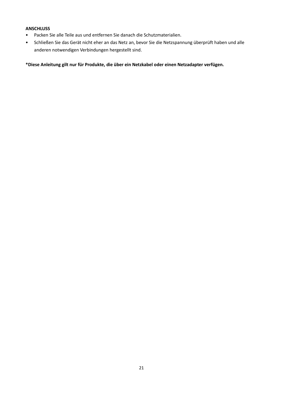#### **ANSCHLUSS**

- Packen Sie alle Teile aus und entfernen Sie danach die Schutzmaterialien.
- Schließen Sie das Gerät nicht eher an das Netz an, bevor Sie die Netzspannung überprüft haben und alle anderen notwendigen Verbindungen hergestellt sind.

**\*Diese Anleitung gilt nur für Produkte, die über ein Netzkabel oder einen Netzadapter verfügen.**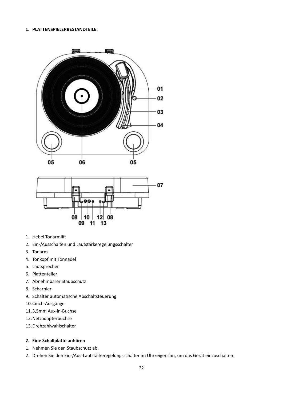#### **1. PLATTENSPIELERBESTANDTEILE:**





- 1. Hebel Tonarmlift
- 2. Ein-/Ausschalten und Lautstärkeregelungsschalter
- 3. Tonarm
- 4. Tonkopf mit Tonnadel
- 5. Lautsprecher
- 6. Plattenteller
- 7. Abnehmbarer Staubschutz
- 8. Scharnier
- 9. Schalter automatische Abschaltsteuerung
- 10.Cinch-Ausgänge
- 11.3,5mm Aux-in-Buchse
- 12.Netzadapterbuchse
- 13.Drehzahlwahlschalter

#### **2. Eine Schallplatte anhören**

- 1. Nehmen Sie den Staubschutz ab.
- 2. Drehen Sie den Ein-/Aus-Lautstärkeregelungsschalter im Uhrzeigersinn, um das Gerät einzuschalten.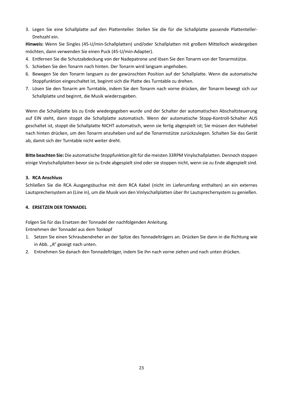3. Legen Sie eine Schallplatte auf den Plattenteller. Stellen Sie die für die Schallplatte passende Plattenteller-Drehzahl ein.

**Hinweis:** Wenn Sie Singles (45-U/min-Schallplatten) und/oder Schallplatten mit großem Mittelloch wiedergeben möchten, dann verwenden Sie einen Puck (45-U/min-Adapter).

- 4. Entfernen Sie die Schutzabdeckung von der Nadepatrone und lösen Sie den Tonarm von der Tonarmstütze.
- 5. Schieben Sie den Tonarm nach hinten. Der Tonarm wird langsam angehoben.
- 6. Bewegen Sie den Tonarm langsam zu der gewünschten Position auf der Schallplatte. Wenn die automatische Stoppfunktion eingeschaltet ist, beginnt sich die Platte des Turntable zu drehen.
- 7. Lösen Sie den Tonarm am Turntable, indem Sie den Tonarm nach vorne drücken, der Tonarm bewegt sich zur Schallplatte und beginnt, die Musik wiederzugeben.

Wenn die Schallplatte bis zu Ende wiedergegeben wurde und der Schalter der automatischen Abschaltsteuerung auf EIN steht, dann stoppt die Schallplatte automatisch. Wenn der automatische Stopp-KontrolI-Schalter AUS geschaltet ist, stoppt die Schallplatte NICHT automatisch, wenn sie fertig abgespielt ist; Sie müssen den Hubhebel nach hinten drücken, um den Tonarm anzuheben und auf die Tonarmstütze zurückzulegen. Schalten Sie das Gerät ab, damit sich der Turntable nicht weiter dreht.

**Bitte beachten Sie:** Die automatische Stoppfunktion gilt für die meisten 33RPM Vinylschallplatten. Dennoch stoppen einige Vinylschallplatten bevor sie zu Ende abgespielt sind oder sie stoppen nicht, wenn sie zu Ende abgespielt sind.

#### **3. RCA Anschluss**

Schließen Sie die RCA Ausgangsbuchse mit dem RCA Kabel (nicht im Lieferumfang enthalten) an ein externes Lautsprechersystem an (Line in), um die Musik von den Vinlyschallplatten über Ihr Lautsprechersystem zu genießen.

#### **4. ERSETZEN DER TONNADEL**

Folgen Sie für das Ersetzen der Tonnadel der nachfolgenden Anleitung. Entnehmen der Tonnadel aus dem Tonkopf

- 1. Setzen Sie einen Schraubendreher an der Spitze des Tonnadelträgers an. Drücken Sie dann in die Richtung wie in Abb. "A" gezeigt nach unten.
- 2. Entnehmen Sie danach den Tonnadelträger, indem Sie ihn nach vorne ziehen und nach unten drücken.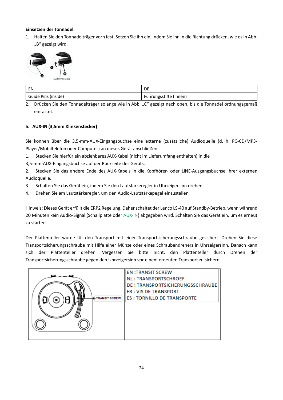#### **Einsetzen der Tonnadel**

1. Halten Sie den Tonnadelträger vorn fest. Setzen Sie ihn ein, indem Sie ihn in die Richtung drücken, wie es in Abb. "B" gezeigt wird.



| EN                  | DE                     |
|---------------------|------------------------|
| Guide Pins (inside) | Führungsstifte (innen) |

2. Drücken Sie den Tonnadelträger solange wie in Abb. "C" gezeigt nach oben, bis die Tonnadel ordnungsgemäß einrastet.

#### **5. AUX-IN (3,5mm Klinkenstecker)**

Sie können über die 3,5-mm-AUX-Eingangsbuchse eine externe (zusätzliche) Audioquelle (d. h. PC-CD/MP3- Player/Mobiltelefon oder Computer) an dieses Gerät anschließen.

1. Stecken Sie hierfür ein abziehbares AUX-Kabel (nicht im Lieferumfang enthalten) in die

3,5-mm-AUX-Eingangsbuchse auf der Rückseite des Geräts.

2. Stecken Sie das andere Ende des AUX-Kabels in die Kopfhörer- oder LINE-Ausgangsbuchse Ihrer externen Audioquelle.

- 3. Schalten Sie das Gerät ein, indem Sie den Lautstärkeregler in Uhrzeigersinn drehen.
- 4. Drehen Sie am Lautstärkeregler, um den Audio-Lautstärkepegel einzustellen.

Hinweis: Dieses Gerät erfüllt die ERP2 Regelung. Daher schaltet der Lenco LS-40 auf Standby-Betrieb, wenn während 20 Minuten kein Audio-Signal (Schallplatte oder AUX-IN) abgegeben wird. Schalten Sie das Gerät ein, um es erneut zu starten.

Der Plattenteller wurde für den Transport mit einer Transportsicherungsschraube gesichert. Drehen Sie diese Transportsicherungsschraube mit Hilfe einer Münze oder eines Schraubendrehers in Uhrzeigersinn. Danach kann sich der Plattenteller drehen. Vergessen Sie bitte nicht, den Plattenteller durch Drehen der Transportsicherungsschraube gegen den Uhrzeigersinn vor einem erneuten Transport zu sichern.

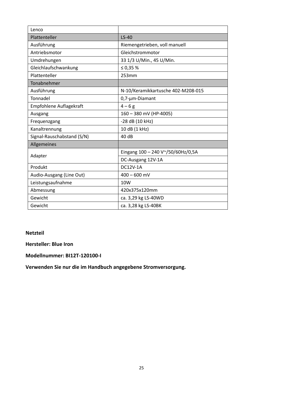| Lenco                      |                                    |
|----------------------------|------------------------------------|
| Plattenteller              | $LS-40$                            |
| Ausführung                 | Riemengetrieben, voll manuell      |
| Antriebsmotor              | Gleichstrommotor                   |
| Umdrehungen                | 33 1/3 U/Min., 45 U/Min.           |
| Gleichlaufschwankung       | ≤ 0,35 $%$                         |
| Plattenteller              | 253mm                              |
| Tonabnehmer                |                                    |
| Ausführung                 | N-10/Keramikkartusche 402-M208-015 |
| Tonnadel                   | 0,7-µm-Diamant                     |
| Empfohlene Auflagekraft    | $4 - 6g$                           |
| Ausgang                    | 160 - 380 mV (HP-4005)             |
| Frequenzgang               | -28 dB (10 kHz)                    |
| Kanaltrennung              | 10 dB (1 kHz)                      |
| Signal-Rauschabstand (S/N) | 40 dB                              |
| Allgemeines                |                                    |
| Adapter                    | Eingang 100 - 240 V~/50/60Hz/0,5A  |
|                            | DC-Ausgang 12V-1A                  |
| Produkt                    | DC12V-1A                           |
| Audio-Ausgang (Line Out)   | $400 - 600$ mV                     |
| Leistungsaufnahme          | 10W                                |
| Abmessung                  | 420x375x120mm                      |
| Gewicht                    | ca. 3,29 kg LS-40WD                |
| Gewicht                    | ca. 3,28 kg LS-40BK                |
|                            |                                    |

#### **Netzteil**

**Hersteller: Blue Iron**

**Modellnummer: BI12T-120100-I**

**Verwenden Sie nur die im Handbuch angegebene Stromversorgung.**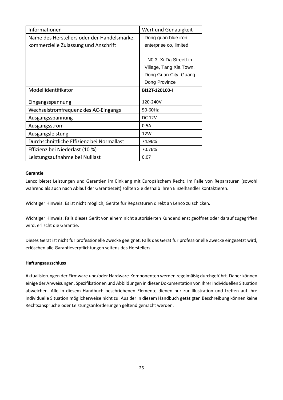| Informationen                               | Wert und Genauigkeit               |
|---------------------------------------------|------------------------------------|
| Name des Herstellers oder der Handelsmarke, | Dong guan blue iron                |
| kommerzielle Zulassung und Anschrift        | enterprise co, limited             |
|                                             |                                    |
|                                             | N <sub>0</sub> .3. Xi Da StreetLin |
|                                             | Village, Tang Xia Town,            |
|                                             | Dong Guan City, Guang              |
|                                             | Dong Province                      |
| Modellidentifikator                         | BI12T-120100-I                     |
|                                             |                                    |
| Eingangsspannung                            | 120-240V                           |
| Wechselstromfrequenz des AC-Eingangs        | 50-60Hz                            |
| Ausgangsspannung                            | <b>DC 12V</b>                      |
| Ausgangsstrom                               | 0.5A                               |
| Ausgangsleistung                            | 12W                                |
| Durchschnittliche Effizienz bei Normallast  | 74.96%                             |
| Effizienz bei Niederlast (10 %)             | 70.76%                             |
| Leistungsaufnahme bei Nulllast              | 0.07                               |

#### **Garantie**

Lenco bietet Leistungen und Garantien im Einklang mit Europäischem Recht. Im Falle von Reparaturen (sowohl während als auch nach Ablauf der Garantiezeit) sollten Sie deshalb Ihren Einzelhändler kontaktieren.

Wichtiger Hinweis: Es ist nicht möglich, Geräte für Reparaturen direkt an Lenco zu schicken.

Wichtiger Hinweis: Falls dieses Gerät von einem nicht autorisierten Kundendienst geöffnet oder darauf zugegriffen wird, erlischt die Garantie.

Dieses Gerät ist nicht für professionelle Zwecke geeignet. Falls das Gerät für professionelle Zwecke eingesetzt wird, erlöschen alle Garantieverpflichtungen seitens des Herstellers.

#### **Haftungsausschluss**

Aktualisierungen der Firmware und/oder Hardware-Komponenten werden regelmäßig durchgeführt. Daher können einige der Anweisungen, Spezifikationen und Abbildungen in dieser Dokumentation von Ihrer individuellen Situation abweichen. Alle in diesem Handbuch beschriebenen Elemente dienen nur zur Illustration und treffen auf Ihre individuelle Situation möglicherweise nicht zu. Aus der in diesem Handbuch getätigten Beschreibung können keine Rechtsansprüche oder Leistungsanforderungen geltend gemacht werden.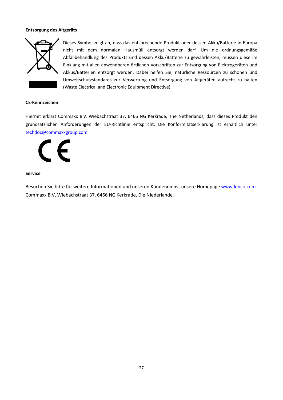#### **Entsorgung des Altgeräts**



Dieses Symbol zeigt an, dass das entsprechende Produkt oder dessen Akku/Batterie in Europa nicht mit dem normalen Hausmüll entsorgt werden darf. Um die ordnungsgemäße Abfallbehandlung des Produkts und dessen Akku/Batterie zu gewährleisten, müssen diese im Einklang mit allen anwendbaren örtlichen Vorschriften zur Entsorgung von Elektrogeräten und Akkus/Batterien entsorgt werden. Dabei helfen Sie, natürliche Ressourcen zu schonen und Umweltschutzstandards zur Verwertung und Entsorgung von Altgeräten aufrecht zu halten (Waste Electrical and Electronic Equipment Directive).

#### **CE-Kennzeichen**

Hiermit erklärt Commaxx B.V. Wiebachstraat 37, 6466 NG Kerkrade, The Netherlands, dass dieses Produkt den grundsätzlichen Anforderungen der EU-Richtlinie entspricht. Die Konformitätserklärung ist erhältlich unter [techdoc@commaxxgroup.com](mailto:techdoc@commaxxgroup.com)



#### **Service**

Besuchen Sie bitte für weitere Informationen und unseren Kundendienst unsere Homepage [www.lenco.com](http://www.lenco.com/) Commaxx B.V. Wiebachstraat 37, 6466 NG Kerkrade, Die Niederlande.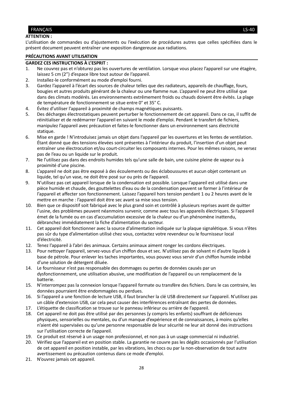#### <span id="page-27-0"></span>FRANÇAIS LS-40

#### **ATTENTION :**

L'utilisation de commandes ou d'ajustements ou l'exécution de procédures autres que celles spécifiées dans le présent document peuvent entraîner une exposition dangereuse aux radiations.

#### **PRÉCAUTIONS AVANT UTILISATION**

#### **GARDEZ CES INSTRUCTIONS À L'ESPRIT :**

- 1. Ne couvrez pas et n'obturez pas les ouvertures de ventilation. Lorsque vous placez l'appareil sur une étagère, laissez 5 cm (2") d'espace libre tout autour de l'appareil.
- 2. Installez-le conformément au mode d'emploi fourni.
- 3. Gardez l'appareil à l'écart des sources de chaleur telles que des radiateurs, appareils de chauffage, fours, bougies et autres produits générant de la chaleur ou une flamme nue. L'appareil ne peut être utilisé que dans des climats modérés. Les environnements extrêmement froids ou chauds doivent être évités. La plage de température de fonctionnement se situe entre 0° et 35° C.
- 4. Évitez d'utiliser l'appareil à proximité de champs magnétiques puissants.
- 5. Des décharges électrostatiques peuvent perturber le fonctionnement de cet appareil. Dans ce cas, il suffit de réinitialiser et de redémarrer l'appareil en suivant le mode d'emploi. Pendant le transfert de fichiers, manipulez l'appareil avec précaution et faites-le fonctionner dans un environnement sans électricité statique.
- 6. Mise en garde ! N'introduisez jamais un objet dans l'appareil par les ouvertures et les fentes de ventilation. Étant donné que des tensions élevées sont présentes à l'intérieur du produit, l'insertion d'un objet peut entraîner une électrocution et/ou court-circuiter les composants internes. Pour les mêmes raisons, ne versez pas de l'eau ou un liquide sur le produit.
- 7. Ne l'utilisez pas dans des endroits humides tels qu'une salle de bain, une cuisine pleine de vapeur ou à proximité d'une piscine.
- 8. L'appareil ne doit pas être exposé à des écoulements ou des éclaboussures et aucun objet contenant un liquide, tel qu'un vase, ne doit être posé sur ou près de l'appareil.
- 9. N'utilisez pas cet appareil lorsque de la condensation est possible. Lorsque l'appareil est utilisé dans une pièce humide et chaude, des gouttelettes d'eau ou de la condensation peuvent se former à l'intérieur de l'appareil et affecter son fonctionnement. Laissez l'appareil hors tension pendant 1 ou 2 heures avant de le mettre en marche : l'appareil doit être sec avant sa mise sous tension.
- 10. Bien que ce dispositif soit fabriqué avec le plus grand soin et contrôlé à plusieurs reprises avant de quitter l'usine, des problèmes peuvent néanmoins survenir, comme avec tous les appareils électriques. Si l'appareil émet de la fumée ou en cas d'accumulation excessive de la chaleur ou d'un phénomène inattendu, débranchez immédiatement la fiche d'alimentation du secteur.
- 11. Cet appareil doit fonctionner avec la source d'alimentation indiquée sur la plaque signalétique. Si vous n'êtes pas sûr du type d'alimentation utilisé chez vous, contactez votre revendeur ou le fournisseur local d'électricité.
- 12. Tenez l'appareil à l'abri des animaux. Certains animaux aiment ronger les cordons électriques.
- 13. Pour nettoyer l'appareil, servez-vous d'un chiffon doux et sec. N'utilisez pas de solvant ni d'autre liquide à base de pétrole. Pour enlever les taches importantes, vous pouvez vous servir d'un chiffon humide imbibé d'une solution de détergent diluée.
- 14. Le fournisseur n'est pas responsable des dommages ou pertes de données causés par un dysfonctionnement, une utilisation abusive, une modification de l'appareil ou un remplacement de la batterie.
- 15. N'interrompez pas la connexion lorsque l'appareil formate ou transfère des fichiers. Dans le cas contraire, les données pourraient être endommagées ou perdues.
- 16. Si l'appareil a une fonction de lecture USB, il faut brancher la clé USB directement sur l'appareil. N'utilisez pas un câble d'extension USB, car cela peut causer des interférences entraînant des pertes de données.
- 17. L'étiquette de classification se trouve sur le panneau inférieur ou arrière de l'appareil.
- 18. Cet appareil ne doit pas être utilisé par des personnes (y compris les enfants) souffrant de déficiences physiques, sensorielles ou mentales, ou d'un manque d'expérience et de connaissances, à moins qu'elles n'aient été supervisées ou qu'une personne responsable de leur sécurité ne leur ait donné des instructions sur l'utilisation correcte de l'appareil.
- 19. Ce produit est réservé à un usage non professionnel, et non pas à un usage commercial ni industriel.
- 20. Vérifiez que l'appareil est en position stable. La garantie ne couvre pas les dégâts occasionnés par l'utilisation de cet appareil en position instable, par les vibrations, les chocs ou par la non-observation de tout autre avertissement ou précaution contenus dans ce mode d'emploi.
- 21. N'ouvrez jamais cet appareil.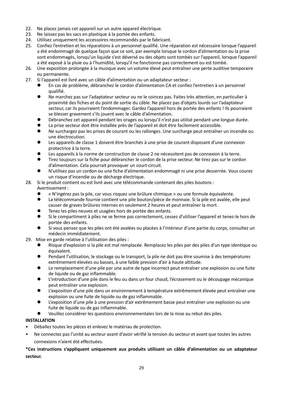- 22. Ne placez jamais cet appareil sur un autre appareil électrique.
- 23. Ne laissez pas les sacs en plastique à la portée des enfants.
- 24. Utilisez uniquement les accessoires recommandés par le fabricant.
- 25. Confiez l'entretien et les réparations à un personnel qualifié. Une réparation est nécessaire lorsque l'appareil a été endommagé de quelque façon que ce soit, par exemple lorsque le cordon d'alimentation ou la prise sont endommagés, lorsqu'un liquide s'est déversé ou des objets sont tombés sur l'appareil, lorsque l'appareil a été exposé à la pluie ou à l'humidité, lorsqu'il ne fonctionne pas correctement ou est tombé.
- 26. Une exposition prolongée à la musique avec un volume élevé peut entraîner une perte auditive temporaire ou permanente.
- 27. Si l'appareil est livré avec un câble d'alimentation ou un adaptateur secteur :
	- En cas de problème, débranchez le cordon d'alimentation CA et confiez l'entretien à un personnel qualifié.
	- ⚫ Ne marchez pas sur l'adaptateur secteur ou ne le coincez pas. Faites très attention, en particulier à proximité des fiches et du point de sortie du câble. Ne placez pas d'objets lourds sur l'adaptateur secteur, car ils pourraient l'endommager. Gardez l'appareil hors de portée des enfants ! Ils pourraient se blesser gravement s'ils jouent avec le câble d'alimentation.
	- ⚫ Débranchez cet appareil pendant les orages ou lorsqu'il n'est pas utilisé pendant une longue durée.
	- La prise secteur doit être installée près de l'appareil et doit être facilement accessible.
	- ⚫ Ne surchargez pas les prises de courant ou les rallonges. Une surcharge peut entraîner un incendie ou une électrocution.
	- Les appareils de classe 1 doivent être branchés à une prise de courant disposant d'une connexion protectrice à la terre.
	- Les appareils à la norme de construction de classe 2 ne nécessitent pas de connexion à la terre.
	- ⚫ Tirez toujours sur la fiche pour débrancher le cordon de la prise secteur. Ne tirez pas sur le cordon d'alimentation. Cela pourrait provoquer un court-circuit.
	- ⚫ N'utilisez pas un cordon ou une fiche d'alimentation endommagé ni une prise desserrée. Vous courez un risque d'incendie ou de décharge électrique.

#### 28. Si le produit contient ou est livré avec une télécommande contenant des piles boutons :

#### Avertissement :

- ⚫ « N'ingérez pas la pile, car vous risquez une brûlure chimique » ou une formule équivalente.
- ⚫ La télécommande fournie contient une pile bouton/pièce de monnaie. Si la pile est avalée, elle peut causer de graves brûlures internes en seulement 2 heures et peut entraîner la mort.
- ⚫ Tenez les piles neuves et usagées hors de portée des enfants.
- ⚫ Si le compartiment à piles ne se ferme pas correctement, cessez d'utiliser l'appareil et tenez-le hors de portée des enfants.
- ⚫ Si vous pensez que les piles ont été avalées ou placées à l'intérieur d'une partie du corps, consultez un médecin immédiatement.
- 29. Mise en garde relative à l'utilisation des piles :
	- ⚫ Risque d'explosion si la pile est mal remplacée. Remplacez les piles par des piles d'un type identique ou équivalent.
	- Pendant l'utilisation, le stockage ou le transport, la pile ne doit pas être soumise à des températures extrêmement élevées ou basses, à une faible pression d'air à haute altitude.
	- Le remplacement d'une pile par une autre de type incorrect peut entraîner une explosion ou une fuite de liquide ou de gaz inflammable.
	- ⚫ L'introduction d'une pile dans le feu ou dans un four chaud, l'écrasement ou le découpage mécanique peut entraîner une explosion.
	- L'exposition d'une pile dans un environnement à température extrêmement élevée peut entraîner une explosion ou une fuite de liquide ou de gaz inflammable.
	- L'exposition d'une pile à une pression d'air extrêmement basse peut entraîner une explosion ou une fuite de liquide ou de gaz inflammable.
	- ⚫ Veuillez considérer les questions environnementales lors de la mise au rebut des piles.

#### **INSTALLATION**

- Déballez toutes les pièces et enlevez le matériau de protection.
- Ne connectez pas l'unité au secteur avant d'avoir vérifié la tension du secteur et avant que toutes les autres connexions n'aient été effectuées.

#### **\*Ces instructions s'appliquent uniquement aux produits utilisant un câble d'alimentation ou un adaptateur secteur.**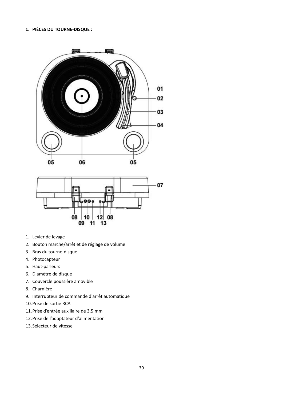#### **1. PIÈCES DU TOURNE-DISQUE :**





- 1. Levier de levage
- 2. Bouton marche/arrêt et de réglage de volume
- 3. Bras du tourne-disque
- 4. Photocapteur
- 5. Haut-parleurs
- 6. Diamètre de disque
- 7. Couvercle poussière amovible
- 8. Charnière
- 9. Interrupteur de commande d'arrêt automatique
- 10.Prise de sortie RCA
- 11.Prise d'entrée auxiliaire de 3,5 mm
- 12.Prise de l'adaptateur d'alimentation
- 13.Sélecteur de vitesse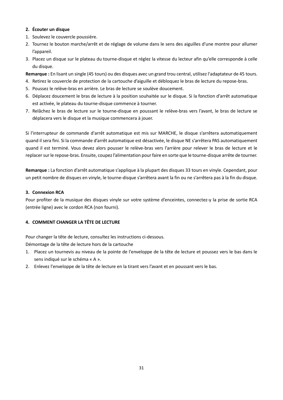#### **2. Écouter un disque**

- 1. Soulevez le couvercle poussière.
- 2. Tournez le bouton marche/arrêt et de réglage de volume dans le sens des aiguilles d'une montre pour allumer l'appareil.
- 3. Placez un disque sur le plateau du tourne-disque et réglez la vitesse du lecteur afin qu'elle corresponde à celle du disque.
- **Remarque :** En lisant un single (45 tours) ou des disques avec un grand trou central, utilisez l'adaptateur de 45 tours.
- 4. Retirez le couvercle de protection de la cartouche d'aiguille et débloquez le bras de lecture du repose-bras.
- 5. Poussez le relève-bras en arrière. Le bras de lecture se soulève doucement.
- 6. Déplacez doucement le bras de lecture à la position souhaitée sur le disque. Si la fonction d'arrêt automatique est activée, le plateau du tourne-disque commence à tourner.
- 7. Relâchez le bras de lecture sur le tourne-disque en poussant le relève-bras vers l'avant, le bras de lecture se déplacera vers le disque et la musique commencera à jouer.

Si l'interrupteur de commande d'arrêt automatique est mis sur MARCHE, le disque s'arrêtera automatiquement quand il sera fini. Si la commande d'arrêt automatique est désactivée, le disque NE s'arrêtera PAS automatiquement quand il est terminé. Vous devez alors pousser le relève-bras vers l'arrière pour relever le bras de lecture et le replacer sur le repose-bras. Ensuite, coupez l'alimentation pour faire en sorte que le tourne-disque arrête de tourner.

**Remarque :** La fonction d'arrêt automatique s'applique à la plupart des disques 33 tours en vinyle. Cependant, pour un petit nombre de disques en vinyle, le tourne-disque s'arrêtera avant la fin ou ne s'arrêtera pas à la fin du disque.

#### **3. Connexion RCA**

Pour profiter de la musique des disques vinyle sur votre système d'enceintes, connectez-y la prise de sortie RCA (entrée ligne) avec le cordon RCA (non fourni).

#### **4. COMMENT CHANGER LA TÊTE DE LECTURE**

Pour changer la tête de lecture, consultez les instructions ci-dessous.

Démontage de la tête de lecture hors de la cartouche

- 1. Placez un tournevis au niveau de la pointe de l'enveloppe de la tête de lecture et poussez vers le bas dans le sens indiqué sur le schéma « A ».
- 2. Enlevez l'enveloppe de la tête de lecture en la tirant vers l'avant et en poussant vers le bas.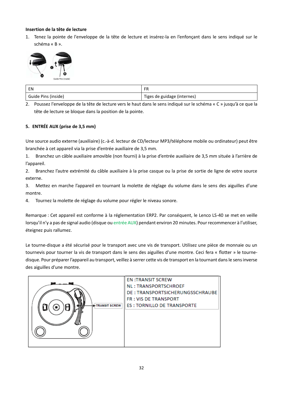#### **Insertion de la tête de lecture**

1. Tenez la pointe de l'enveloppe de la tête de lecture et insérez-la en l'enfonçant dans le sens indiqué sur le schéma « B ».



| EN                  | <b>FR</b><br>٣h             |
|---------------------|-----------------------------|
| Guide Pins (inside) | Tiges de guidage (internes) |

2. Poussez l'enveloppe de la tête de lecture vers le haut dans le sens indiqué sur le schéma « C » jusqu'à ce que la tête de lecture se bloque dans la position de la pointe.

#### **5. ENTRÉE AUX (prise de 3,5 mm)**

Une source audio externe (auxiliaire) (c.-à-d. lecteur de CD/lecteur MP3/téléphone mobile ou ordinateur) peut être branchée à cet appareil via la prise d'entrée auxiliaire de 3,5 mm.

1. Branchez un câble auxiliaire amovible (non fourni) à la prise d'entrée auxiliaire de 3,5 mm située à l'arrière de l'appareil.

2. Branchez l'autre extrémité du câble auxiliaire à la prise casque ou la prise de sortie de ligne de votre source externe.

3. Mettez en marche l'appareil en tournant la molette de réglage du volume dans le sens des aiguilles d'une montre.

4. Tournez la molette de réglage du volume pour régler le niveau sonore.

Remarque : Cet appareil est conforme à la réglementation ERP2. Par conséquent, le Lenco LS-40 se met en veille lorsqu'il n'y a pas de signal audio (disque ou entrée AUX) pendant environ 20 minutes. Pour recommencer à l'utiliser, éteignez puis rallumez.

Le tourne-disque a été sécurisé pour le transport avec une vis de transport. Utilisez une pièce de monnaie ou un tournevis pour tourner la vis de transport dans le sens des aiguilles d'une montre. Ceci fera « flotter » le tournedisque. Pour préparer l'appareil au transport, veillez à serrer cette vis de transport en la tournant dans le sens inverse des aiguilles d'une montre.

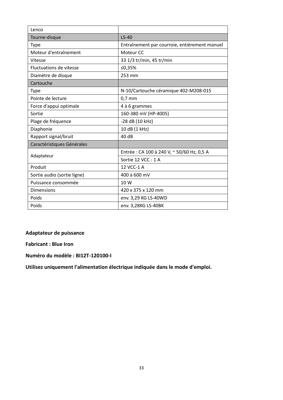| Lenco                       |                                               |
|-----------------------------|-----------------------------------------------|
| Tourne-disque               | $LS-40$                                       |
| Type                        | Entraînement par courroie, entièrement manuel |
| Moteur d'entraînement       | Moteur <sub>CC</sub>                          |
| Vitesse                     | 33 1/3 tr/min, 45 tr/min                      |
| Fluctuations de vitesse     | ≤0,35%                                        |
| Diamètre de disque          | 253 mm                                        |
| Cartouche                   |                                               |
| <b>Type</b>                 | N-10/Cartouche céramique 402-M208-015         |
| Pointe de lecture           | $0,7$ mm                                      |
| Force d'appui optimale      | 4 à 6 grammes                                 |
| Sortie                      | 160-380 mV (HP-4005)                          |
| Plage de fréquence          | -28 dB (10 kHz)                               |
| Diaphonie                   | 10 dB (1 kHz)                                 |
| Rapport signal/bruit        | 40 dB                                         |
| Caractéristiques Générales  |                                               |
| Adaptateur                  | Entrée : CA 100 à 240 V, ~ 50/60 Hz, 0,5 A    |
|                             | Sortie 12 VCC - 1 A                           |
| Produit                     | 12 VCC-1 A                                    |
| Sortie audio (sortie ligne) | 400 à 600 mV                                  |
| Puissance consommée         | 10W                                           |
| <b>Dimensions</b>           | 420 x 375 x 120 mm                            |
| Poids                       | env. 3,29 KG LS-40WD                          |
| Poids                       | env. 3,28KG LS-40BK                           |

#### **Adaptateur de puissance**

**Fabricant : Blue Iron**

**Numéro du modèle : BI12T-120100-I**

**Utilisez uniquement l'alimentation électrique indiquée dans le mode d'emploi.**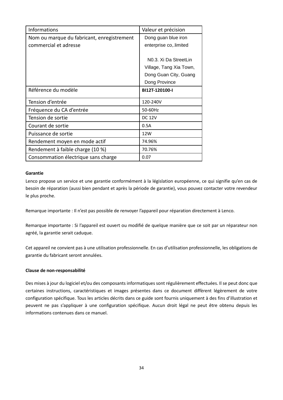| <b>Informations</b>                        | Valeur et précision     |
|--------------------------------------------|-------------------------|
| Nom ou marque du fabricant, enregistrement | Dong guan blue iron     |
| commercial et adresse                      | enterprise co, limited  |
|                                            |                         |
|                                            | N0.3. Xi Da StreetLin   |
|                                            | Village, Tang Xia Town, |
|                                            | Dong Guan City, Guang   |
|                                            | Dong Province           |
| Référence du modèle                        | BI12T-120100-I          |
| Tension d'entrée                           | 120-240V                |
| Fréquence du CA d'entrée                   | 50-60Hz                 |
| Tension de sortie                          | <b>DC 12V</b>           |
| Courant de sortie                          | 0.5A                    |
| Puissance de sortie                        | 12W                     |
| Rendement moyen en mode actif              | 74.96%                  |
| Rendement à faible charge (10 %)           | 70.76%                  |
| Consommation électrique sans charge        | 0.07                    |

#### **Garantie**

Lenco propose un service et une garantie conformément à la législation européenne, ce qui signifie qu'en cas de besoin de réparation (aussi bien pendant et après la période de garantie), vous pouvez contacter votre revendeur le plus proche.

Remarque importante : Il n'est pas possible de renvoyer l'appareil pour réparation directement à Lenco.

Remarque importante : Si l'appareil est ouvert ou modifié de quelque manière que ce soit par un réparateur non agréé, la garantie serait caduque.

Cet appareil ne convient pas à une utilisation professionnelle. En cas d'utilisation professionnelle, les obligations de garantie du fabricant seront annulées.

#### **Clause de non-responsabilité**

Des mises à jour du logiciel et/ou des composants informatiques sont régulièrement effectuées. Il se peut donc que certaines instructions, caractéristiques et images présentes dans ce document diffèrent légèrement de votre configuration spécifique. Tous les articles décrits dans ce guide sont fournis uniquement à des fins d'illustration et peuvent ne pas s'appliquer à une configuration spécifique. Aucun droit légal ne peut être obtenu depuis les informations contenues dans ce manuel.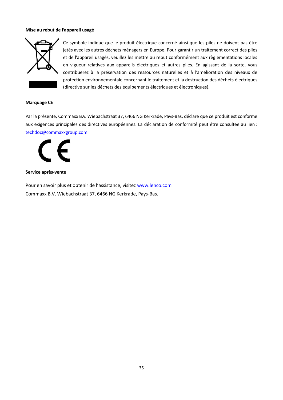#### **Mise au rebut de l'appareil usagé**



Ce symbole indique que le produit électrique concerné ainsi que les piles ne doivent pas être jetés avec les autres déchets ménagers en Europe. Pour garantir un traitement correct des piles et de l'appareil usagés, veuillez les mettre au rebut conformément aux règlementations locales en vigueur relatives aux appareils électriques et autres piles. En agissant de la sorte, vous contribuerez à la préservation des ressources naturelles et à l'amélioration des niveaux de protection environnementale concernant le traitement et la destruction des déchets électriques (directive sur les déchets des équipements électriques et électroniques).

#### **Marquage CE**

Par la présente, Commaxx B.V. Wiebachstraat 37, 6466 NG Kerkrade, Pays-Bas, déclare que ce produit est conforme aux exigences principales des directives européennes. La déclaration de conformité peut être consultée au lien : [techdoc@commaxxgroup.com](mailto:techdoc@commaxxgroup.com)

E

#### **Service après-vente**

Pour en savoir plus et obtenir de l'assistance, visitez [www.lenco.com](http://www.lenco.com/) Commaxx B.V. Wiebachstraat 37, 6466 NG Kerkrade, Pays-Bas.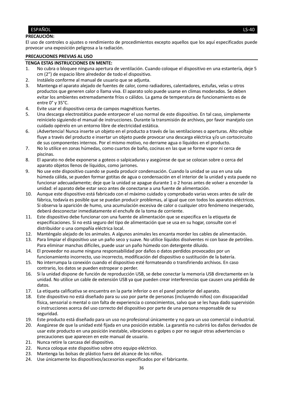#### <span id="page-35-0"></span>ESPAÑOL LS-40

#### **PRECAUCIÓN:**

El uso de controles o ajustes o rendimiento de procedimientos excepto aquellos que los aquí especificados puede provocar una exposición peligrosa a la radiación.

#### **PRECAUCIONES PREVIAS AL USO**

#### **TENGA ESTAS INSTRUCCIONES EN MENTE:**

- 1. No cubra o bloquee ninguna apertura de ventilación. Cuando coloque el dispositivo en una estantería, deje 5 cm (2") de espacio libre alrededor de todo el dispositivo.
- 2. Instálelo conforme al manual de usuario que se adjunta.
- 3. Mantenga el aparato alejado de fuentes de calor, como radiadores, calentadores, estufas, velas u otros productos que generen calor o llama viva. El aparato solo puede usarse en climas moderados. Se deben evitar los ambientes extremadamente fríos o cálidos. La gama de temperatura de funcionamiento es de entre 0° y 35°C.
- 4. Evite usar el dispositivo cerca de campos magnéticos fuertes.
- 5. Una descarga electrostática puede entorpecer el uso normal de este dispositivo. En tal caso, simplemente reinícielo siguiendo el manual de instrucciones. Durante la transmisión de archivos, por favor manéjelo con cuidado opérelo en un entorno libre de electricidad estática.
- 6. ¡Advertencia! Nunca inserte un objeto en el producto a través de las ventilaciones o aperturas. Alto voltaje fluye a través del producto e insertar un objeto puede provocar una descarga eléctrica y/o un cortocircuito de sus componentes internos. Por el mismo motivo, no derrame agua o líquidos en el producto.
- 7. No lo utilice en zonas húmedas, como cuartos de baño, cocinas en las que se forme vapor ni cerca de piscinas.
- 8. El aparato no debe exponerse a goteos o salpicaduras y asegúrese de que se colocan sobre o cerca del aparato objetos llenos de líquidos, como jarrones.
- 9. No use este dispositivo cuando se pueda producir condensación. Cuando la unidad se usa en una sala húmeda cálida, se pueden formar gotitas de agua o condensación en el interior de la unidad y esta puede no funcionar adecuadamente; deje que la unidad se apague durante 1 o 2 horas antes de volver a encender la unidad: el aparato debe estar seco antes de conectarse a una fuente de alimentación.
- 10. Aunque este dispositivo está fabricado con el máximo cuidado y comprobado varias veces antes de salir de fábrica, todavía es posible que se puedan producir problemas, al igual que con todos los aparatos eléctricos. Si observa la aparición de humo, una acumulación excesiva de calor o cualquier otro fenómeno inesperado, deberá desconectar inmediatamente el enchufe de la toma de corriente.
- 11. Este dispositivo debe funcionar con una fuente de alimentación que se especifica en la etiqueta de especificaciones. Si no está seguro del tipo de alimentación que se usa en su hogar, consulte con el distribuidor o una compañía eléctrica local.
- 12. Manténgalo alejado de los animales. A algunos animales les encanta morder los cables de alimentación.<br>13. Para limpiar el dispositivo use un paño seco v suave. No utilice líquidos disolventes ni con base de petról
- 13. Para limpiar el dispositivo use un paño seco y suave. No utilice líquidos disolventes ni con base de petróleo. Para eliminar manchas difíciles, puede usar un paño húmedo con detergente diluido.
- 14. El proveedor no asume ninguna responsabilidad por daños o datos perdidos provocados por un funcionamiento incorrecto, uso incorrecto, modificación del dispositivo o sustitución de la batería.
- 15. No interrumpa la conexión cuando el dispositivo esté formateando o transfiriendo archivos. En caso contrario, los datos se pueden estropear o perder.
- 16. Si la unidad dispone de función de reproducción USB, se debe conectar la memoria USB directamente en la unidad. No utilice un cable de extensión USB ya que pueden crear interferencias que causen una pérdida de datos.
- 17. La etiqueta calificativa se encuentra en la parte inferior o en el panel posterior del aparato.
- 18. Este dispositivo no está diseñado para su uso por parte de personas (incluyendo niños) con discapacidad física, sensorial o mental o con falta de experiencia o conocimientos, salvo que se les haya dado supervisión o instrucciones acerca del uso correcto del dispositivo por parte de una persona responsable de su seguridad.
- 19. Este producto está diseñado para un uso no profesional únicamente y no para un uso comercial o industrial.
- 20. Asegúrese de que la unidad esté fijada en una posición estable. La garantía no cubrirá los daños derivados de usar este producto en una posición inestable, vibraciones o golpes o por no seguir otras advertencias o precauciones que aparecen en este manual de usuario.
- 21. Nunca retire la carcasa del dispositivo.
- 22. Nunca coloque este dispositivo sobre otro equipo eléctrico.
- 23. Mantenga las bolsas de plástico fuera del alcance de los niños.
- 24. Use únicamente los dispositivos/accesorios especificados por el fabricante.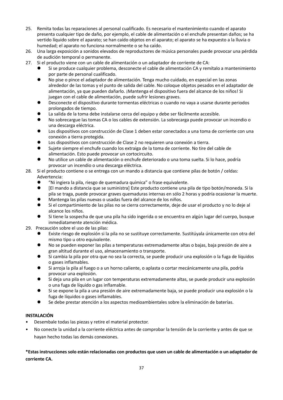- 25. Remita todas las reparaciones al personal cualificado. Es necesario el mantenimiento cuando el aparato presenta cualquier tipo de daño, por ejemplo, el cable de alimentación o el enchufe presentan daños; se ha vertido líquido sobre el aparato; se han caído objetos en el aparato; el aparato se ha expuesto a la lluvia o humedad; el aparato no funciona normalmente o se ha caído.
- 26. Una larga exposición a sonidos elevados de reproductores de música personales puede provocar una pérdida de audición temporal o permanente.
- 27. Si el producto viene con un cable de alimentación o un adaptador de corriente de CA:
	- Si se produce cualquier problema, desconecte el cable de alimentación CA y remítalo a mantenimiento por parte de personal cualificado.
	- ⚫ No pise o pince el adaptador de alimentación. Tenga mucho cuidado, en especial en las zonas alrededor de las tomas y el punto de salida del cable. No coloque objetos pesados en el adaptador de alimentación, ya que pueden dañarlo. ¡Mantenga el dispositivo fuera del alcance de los niños! Si juegan con el cable de alimentación, puede sufrir lesiones graves.
	- ⚫ Desconecte el dispositivo durante tormentas eléctricas o cuando no vaya a usarse durante periodos prolongados de tiempo.
	- La salida de la toma debe instalarse cerca del equipo y debe ser fácilmente accesible.
	- No sobrecargue las tomas CA o los cables de extensión. La sobrecarga puede provocar un incendio o una descarga eléctrica.
	- Los dispositivos con construcción de Clase 1 deben estar conectados a una toma de corriente con una conexión a tierra protegida.
	- ⚫ Los dispositivos con construcción de Clase 2 no requieren una conexión a tierra.
	- ⚫ Sujete siempre el enchufe cuando los extraiga de la toma de corriente. No tire del cable de alimentación. Esto puede provocar un cortocircuito.
	- No utilice un cable de alimentación o enchufe deteriorado o una toma suelta. Si lo hace, podría provocar un incendio o una descarga eléctrica.
- 28. Si el producto contiene o se entrega con un mando a distancia que contiene pilas de botón / celdas: Advertencia:
	- ⚫ "Ni ingiera la pila, riesgo de quemadura química" o frase equivalente.
	- ⚫ [El mando a distancia que se suministra] Este producto contiene una pila de tipo botón/moneda. Si la pila se traga, puede provocar graves quemaduras internas en sólo 2 horas y podría ocasionar la muerte.
	- ⚫ Mantenga las pilas nuevas o usadas fuera del alcance de los niños.
	- Si el compartimiento de las pilas no se cierra correctamente, deje de usar el producto y no lo deje al alcance los niños.
	- ⚫ Si tiene la sospecha de que una pila ha sido ingerida o se encuentra en algún lugar del cuerpo, busque inmediatamente atención médica.
- 29. Precaución sobre el uso de las pilas:
	- ⚫ Existe riesgo de explosión si la pila no se sustituye correctamente. Sustitúyala únicamente con otra del mismo tipo u otro equivalente.
	- ⚫ No se pueden exponer las pilas a temperaturas extremadamente altas o bajas, baja presión de aire a gran altitud durante el uso, almacenamiento o transporte.
	- ⚫ Si cambia la pila por otra que no sea la correcta, se puede producir una explosión o la fuga de líquidos o gases inflamables.
	- Si arroja la pila al fuego o a un horno caliente, o aplasta o cortar mecánicamente una pila, podría provocar una explosión.
	- Si deja una pila en un lugar con temperaturas extremadamente altas, se puede producir una explosión o una fuga de líquido o gas inflamable.
	- Si se expone la pila a una presión de aire extremadamente baja, se puede producir una explosión o la fuga de líquidos o gases inflamables.
	- ⚫ Se debe prestar atención a los aspectos medioambientales sobre la eliminación de baterías.

#### **INSTALACIÓN**

- Desembale todas las piezas y retire el material protector.
- No conecte la unidad a la corriente eléctrica antes de comprobar la tensión de la corriente y antes de que se hayan hecho todas las demás conexiones.

**\*Estas instrucciones solo están relacionadas con productos que usen un cable de alimentación o un adaptador de corriente CA.**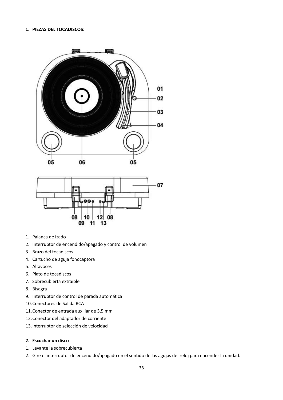#### **1. PIEZAS DEL TOCADISCOS:**





- 1. Palanca de izado
- 2. Interruptor de encendido/apagado y control de volumen
- 3. Brazo del tocadiscos
- 4. Cartucho de aguja fonocaptora
- 5. Altavoces
- 6. Plato de tocadiscos
- 7. Sobrecubierta extraíble
- 8. Bisagra
- 9. Interruptor de control de parada automática
- 10.Conectores de Salida RCA
- 11.Conector de entrada auxiliar de 3,5 mm
- 12.Conector del adaptador de corriente
- 13.Interruptor de selección de velocidad

#### **2. Escuchar un disco**

- 1. Levante la sobrecubierta
- 2. Gire el interruptor de encendido/apagado en el sentido de las agujas del reloj para encender la unidad.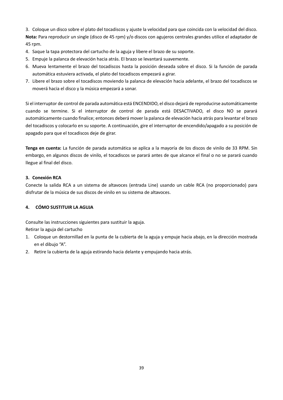3. Coloque un disco sobre el plato del tocadiscos y ajuste la velocidad para que coincida con la velocidad del disco. **Nota:** Para reproducir un single (disco de 45 rpm) y/o discos con agujeros centrales grandes utilice el adaptador de 45 rpm.

- 4. Saque la tapa protectora del cartucho de la aguja y libere el brazo de su soporte.
- 5. Empuje la palanca de elevación hacia atrás. El brazo se levantará suavemente.
- 6. Mueva lentamente el brazo del tocadiscos hasta la posición deseada sobre el disco. Si la función de parada automática estuviera activada, el plato del tocadiscos empezará a girar.
- 7. Libere el brazo sobre el tocadiscos moviendo la palanca de elevación hacia adelante, el brazo del tocadiscos se moverá hacia el disco y la música empezará a sonar.

Si el interruptor de control de parada automática está ENCENDIDO, el disco dejará de reproducirse automáticamente cuando se termine. Si el interruptor de control de parada está DESACTIVADO, el disco NO se parará automáticamente cuando finalice; entonces deberá mover la palanca de elevación hacia atrás para levantar el brazo del tocadiscos y colocarlo en su soporte. A continuación, gire el interruptor de encendido/apagado a su posición de apagado para que el tocadiscos deje de girar.

**Tenga en cuenta:** La función de parada automática se aplica a la mayoría de los discos de vinilo de 33 RPM. Sin embargo, en algunos discos de vinilo, el tocadiscos se parará antes de que alcance el final o no se parará cuando llegue al final del disco.

#### **3. Conexión RCA**

Conecte la salida RCA a un sistema de altavoces (entrada Line) usando un cable RCA (no proporcionado) para disfrutar de la música de sus discos de vinilo en su sistema de altavoces.

#### **4. CÓMO SUSTITUIR LA AGUJA**

Consulte las instrucciones siguientes para sustituir la aguja.

Retirar la aguja del cartucho

- 1. Coloque un destornillad en la punta de la cubierta de la aguja y empuje hacia abajo, en la dirección mostrada en el dibujo "A".
- 2. Retire la cubierta de la aguja estirando hacia delante y empujando hacia atrás.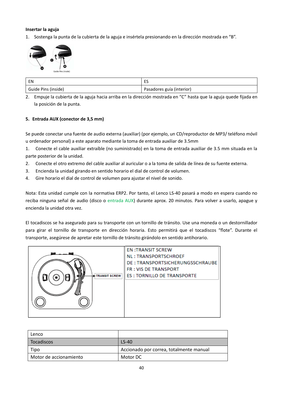#### **Insertar la aguja**

1. Sostenga la punta de la cubierta de la aguja e insértela presionando en la dirección mostrada en "B".



| EN                  | $-$<br>--                 |
|---------------------|---------------------------|
| Guide Pins (inside) | Pasadores guía (interior) |

2. Empuje la cubierta de la aguja hacia arriba en la dirección mostrada en "C" hasta que la aguja quede fijada en la posición de la punta.

#### **5. Entrada AUX (conector de 3,5 mm)**

Se puede conectar una fuente de audio externa (auxiliar) (por ejemplo, un CD/reproductor de MP3/ teléfono móvil u ordenador personal) a este aparato mediante la toma de entrada auxiliar de 3.5mm

1. Conecte el cable auxiliar extraíble (no suministrado) en la toma de entrada auxiliar de 3.5 mm situada en la parte posterior de la unidad.

- 2. Conecte el otro extremo del cable auxiliar al auricular o a la toma de salida de línea de su fuente externa.
- 3. Encienda la unidad girando en sentido horario el dial de control de volumen.
- 4. Gire horario el dial de control de volumen para ajustar el nivel de sonido.

Nota: Esta unidad cumple con la normativa ERP2. Por tanto, el Lenco LS-40 pasará a modo en espera cuando no reciba ninguna señal de audio (disco o entrada AUX) durante aprox. 20 minutos. Para volver a usarlo, apague y encienda la unidad otra vez.

El tocadiscos se ha asegurado para su transporte con un tornillo de tránsito. Use una moneda o un destornillador para girar el tornillo de transporte en dirección horaria. Esto permitirá que el tocadiscos "flote". Durante el transporte, asegúrese de apretar este tornillo de tránsito girándolo en sentido antihorario.



| Lenco                  |                                         |
|------------------------|-----------------------------------------|
| Tocadiscos             | $LS-40$                                 |
| Tipo                   | Accionado por correa, totalmente manual |
| Motor de accionamiento | Motor DC                                |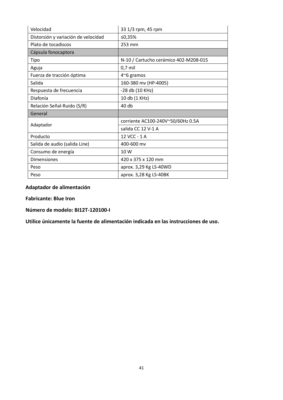| Velocidad                           | 33 1/3 rpm, 45 rpm                    |
|-------------------------------------|---------------------------------------|
| Distorsión y variación de velocidad | ≤0,35%                                |
| Plato de tocadiscos                 | 253 mm                                |
| Cápsula fonocaptora                 |                                       |
| Tipo                                | N-10 / Cartucho cerámico 402-M208-015 |
| Aguja                               | $0,7$ mil                             |
| Fuerza de tracción óptima           | $4^{\sim}6$ gramos                    |
| Salida                              | 160-380 mv (HP-4005)                  |
| Respuesta de frecuencia             | -28 db (10 KHz)                       |
| Diafonía                            | 10 db (1 KHz)                         |
| Relación Señal-Ruido (S/R)          | 40 db                                 |
| General                             |                                       |
| Adaptador                           | corriente AC100-240V~50/60Hz 0.5A     |
|                                     | salida CC 12 V-1 A                    |
| Producto                            | 12 VCC - 1 A                          |
| Salida de audio (salida Line)       | 400-600 mv                            |
| Consumo de energía                  | 10 W                                  |
| <b>Dimensiones</b>                  | 420 x 375 x 120 mm                    |
| Peso                                | aprox. 3,29 Kg LS-40WD                |
| Peso                                | aprox. 3,28 Kg LS-40BK                |

**Adaptador de alimentación**

**Fabricante: Blue Iron**

**Número de modelo: BI12T-120100-I**

**Utilice únicamente la fuente de alimentación indicada en las instrucciones de uso.**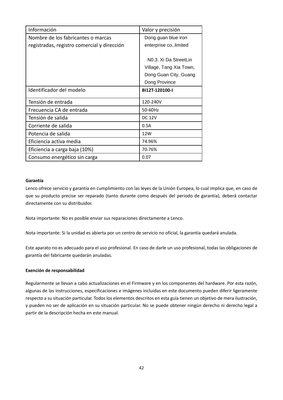| Información                                 | Valor y precisión                  |
|---------------------------------------------|------------------------------------|
| Nombre de los fabricantes o marcas          | Dong guan blue iron                |
| registradas, registro comercial y dirección | enterprise co, limited             |
|                                             |                                    |
|                                             | N <sub>0</sub> .3. Xi Da StreetLin |
|                                             | Village, Tang Xia Town,            |
|                                             | Dong Guan City, Guang              |
|                                             | Dong Province                      |
| Identificador del modelo                    | BI12T-120100-I                     |
| Tensión de entrada                          | 120-240V                           |
| Frecuencia CA de entrada                    | 50-60Hz                            |
| Tensión de salida                           | <b>DC 12V</b>                      |
| Corriente de salida                         | 0.5A                               |
| Potencia de salida                          | 12W                                |
| Eficiencia activa media                     | 74.96%                             |
| Eficiencia a carga baja (10%)               | 70.76%                             |
| Consumo energético sin carga                | 0.07                               |

#### **Garantía**

Lenco ofrece servicio y garantía en cumplimiento con las leyes de la Unión Europea, lo cual implica que, en caso de que su producto precise ser reparado (tanto durante como después del periodo de garantía), deberá contactar directamente con su distribuidor.

Nota importante: No es posible enviar sus reparaciones directamente a Lenco.

Nota importante: Si la unidad es abierta por un centro de servicio no oficial, la garantía quedará anulada.

Este aparato no es adecuado para el uso profesional. En caso de darle un uso profesional, todas las obligaciones de garantía del fabricante quedarán anuladas.

#### **Exención de responsabilidad**

Regularmente se llevan a cabo actualizaciones en el Firmware y en los componentes del hardware. Por esta razón, algunas de las instrucciones, especificaciones e imágenes incluidas en este documento pueden diferir ligeramente respecto a su situación particular. Todos los elementos descritos en esta guía tienen un objetivo de mera ilustración, y pueden no ser de aplicación en su situación particular. No se puede obtener ningún derecho ni derecho legal a partir de la descripción hecha en este manual.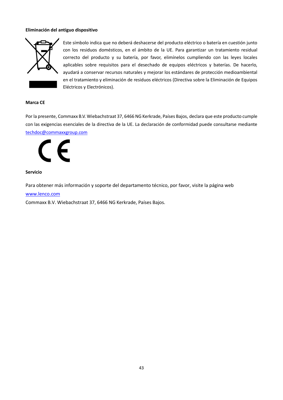#### **Eliminación del antiguo dispositivo**



Este símbolo indica que no deberá deshacerse del producto eléctrico o batería en cuestión junto con los residuos domésticos, en el ámbito de la UE. Para garantizar un tratamiento residual correcto del producto y su batería, por favor, elimínelos cumpliendo con las leyes locales aplicables sobre requisitos para el desechado de equipos eléctricos y baterías. De hacerlo, ayudará a conservar recursos naturales y mejorar los estándares de protección medioambiental en el tratamiento y eliminación de residuos eléctricos (Directiva sobre la Eliminación de Equipos Eléctricos y Electrónicos).

#### **Marca CE**

Por la presente, Commaxx B.V. Wiebachstraat 37, 6466 NG Kerkrade, Países Bajos, declara que este producto cumple con las exigencias esenciales de la directiva de la UE. La declaración de conformidad puede consultarse mediante [techdoc@commaxxgroup.com](mailto:techdoc@commaxxgroup.com)



#### **Servicio**

Para obtener más información y soporte del departamento técnico, por favor, visite la página web

[www.lenco.com](http://www.lenco.com/)

Commaxx B.V. Wiebachstraat 37, 6466 NG Kerkrade, Países Bajos.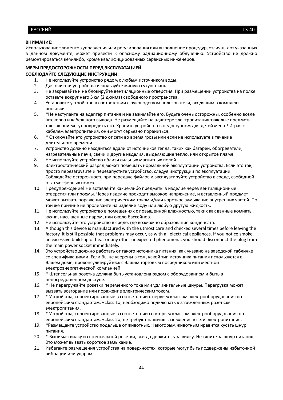#### <span id="page-43-0"></span>**ВНИМАНИЕ:**

Использование элементов управления или регулирования или выполнение процедур, отличных от указанных в данном документе, может привести к опасному радиационному облучению. Устройство не должно ремонтироваться кем-либо, кроме квалифицированных сервисных инженеров.

#### **МЕРЫ ПРЕДОСТОРОЖНОСТИ ПЕРЕД ЭКСПЛУАТАЦИЕЙ**

#### **СОБЛЮДАЙТЕ СЛЕДУЮЩИЕ ИНСТРУКЦИИ:**

- 1. Не используйте устройство рядом с любым источником воды.
- 2. Для очистки устройства используйте мягкую сухую ткань.
- 3. Не закрывайте и не блокируйте вентиляционные отверстия. При размещении устройства на полке оставьте вокруг него 5 см (2 дюйма) свободного пространства.
- 4. Установите устройство в соответствии с руководством пользователя, входящим в комплект поставки.
- 5. \*Не наступайте на адаптер питания и не зажимайте его. Будьте очень осторожны, особенно возле штекеров и кабельного вывода. Не размещайте на адаптере электропитания тяжелые предметы, так как они могут повредить его. Храните устройство в недоступном для детей месте! Играя с кабелем электропитания, они могут серьезно пораниться.
- 6. \* Отключайте это устройство от сети во время грозы или если не используете в течение длительного времени.
- 7. Устройство должно находиться вдали от источников тепла, таких как батареи, обогреватели, нагревательные печи, свечи и другие изделия, выделяющие тепло, или открытое пламя.
- 8. Не используйте устройство вблизи сильных магнитных полей.
- 9. Электростатический разряд может помешать нормальной эксплуатации устройства. Если это так, просто перезагрузите и перезапустите устройство, следуя инструкции по эксплуатации. Соблюдайте осторожность при передаче файлов и эксплуатируйте устройство в среде, свободной от атмосферных помех.
- 10. Предупреждение! Не вставляйте какие-либо предметы в изделие через вентиляционные отверстия или проемы. Через изделие проходит высокое напряжение, и вставленный предмет может вызвать поражение электрическим током и/или короткое замыкание внутренних частей. По той же причине не проливайте на изделие воду или любую другую жидкость.
- 11. Не используйте устройство в помещениях с повышенной влажностью, таких как ванные комнаты, кухни, насыщенные паром, или около бассейнов.
- 12. Не используйте это устройство в среде, где возможно образование конденсата.
- 13. Although this device is manufactured with the utmost care and checked several times before leaving the factory, it is still possible that problems may occur, as with all electrical appliances. If you notice smoke, an excessive build-up of heat or any other unexpected phenomena, you should disconnect the plug from the main power socket immediately.
- 14. Это устройство должно работать от такого источника питания, как указано на заводской табличке со спецификациями. Если Вы не уверены в том, какой тип источника питания используется в Вашем доме, проконсультируйтесь с Вашим торговым посредником или местной электроэнергетической компанией.
- 15. \* Штепсельная розетка должна быть установлена рядом с оборудованием и быть в непосредственном доступе.
- 16. \* Не перегружайте розетки переменного тока или удлинительные шнуры. Перегрузка может вызвать возгорание или поражение электрическим током.
- 17. \* Устройства, спроектированные в соответствии с первым классом электрооборудования по европейским стандартам, «class 1», необходимо подключать к заземленным розеткам электропитания.
- 18. \* Устройства, спроектированные в соответствии со вторым классом электрооборудования по европейским стандартам, «class 2», не требуют наличия заземления в сети электропитания.
- 19. \*Размещайте устройство подальше от животных. Некоторым животным нравится кусать шнур питания.
- 20. \* Вынимая вилку из штепсельной розетки, всегда держитесь за вилку. Не тяните за шнур питания. Это может вызвать короткое замыкание.
- 21. Избегайте размещения устройства на поверхностях, которые могут быть подвержены избыточной вибрации или ударам.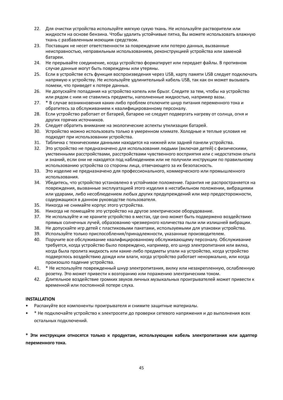- 22. Для очистки устройства используйте мягкую сухую ткань. Не используйте растворители или жидкости на основе бензина. Чтобы удалить устойчивые пятна, Вы можете использовать влажную ткань с разбавленным моющим средством.
- 23. Поставщик не несет ответственности за повреждение или потерю данных, вызванные неисправностью, неправильным использованием, реконструкцией устройства или заменой батареи.
- 24. Не прерывайте соединение, когда устройство форматирует или передает файлы. В противном случае данные могут быть повреждены или утеряны.
- 25. Если в устройстве есть функция воспроизведения через USB, карту памяти USB следует подключать напрямую к устройству. Не используйте удлинительный кабель USB, так как он может вызывать помехи, что приведет к потере данных.
- 26. Не допускайте попадания на устройство капель или брызг. Следите за тем, чтобы на устройство или рядом с ним не ставились предметы, наполненные жидкостью, например вазы.
- 27. \* В случае возникновения каких-либо проблем отключите шнур питания переменного тока и обратитесь за обслуживанием к квалифицированному персоналу.
- 28. Если устройство работает от батарей, батарею не следует подвергать нагреву от солнца, огня и других горячих источников.
- 29. Следует обратить внимание на экологические аспекты утилизации батарей.
- 30. Устройство можно использовать только в умеренном климате. Холодные и теплые условия не подходят при использовании устройства.
- 31. Табличка с техническими данными находится на нижней или задней панели устройства.
- 32. Это устройство не предназначено для использования людьми (включая детей) с физическими, умственными расстройствами, расстройствами чувственного восприятия или с недостатком опыта и знаний, если они не находятся под наблюдением или не получили инструкции по правильному использованию устройства со стороны лица, отвечающего за их безопасность.
- 33. Это изделие не предназначено для профессионального, коммерческого или промышленного использования.
- 34. Убедитесь, что устройство установлено в устойчивое положение. Гарантия не распространяется на повреждения, вызванные эксплуатацией этого изделия в нестабильном положении, вибрациями или ударами, либо несоблюдением любых других предупреждений или мер предосторожности, содержащихся в данном руководстве пользователя.
- 35. Никогда не снимайте корпус этого устройства.
- 36. Никогда не помещайте это устройство на другое электрическое оборудование.
- 37. Не используйте и не храните устройство в местах, где оно может быть подвержено воздействию прямых солнечных лучей, образованию чрезмерного количества пыли или излишней вибрации.
- 38. Не допускайте игр детей с пластиковыми пакетами, используемыми для упаковки устройства.
- 39. Используйте только приспособления/принадлежности, указанные производителем.
- 40. Поручите все обслуживание квалифицированному обслуживающему персоналу. Обслуживание требуется, когда устройство было повреждено, например, его шнур электропитания или вилка, когда была пролита жидкость или какие-либо предметы упали на устройство, когда устройство подверглось воздействию дождя или влаги, когда устройство работает ненормально, или когда произошло падение устройства.
- 41. \* Не используйте поврежденный шнур электропитания, вилку или незакрепленную, ослабленную розетку. Это может привести к возгоранию или поражению электрическим током.
- 42. Длительное воздействие громких звуков личных музыкальных проигрывателей может привести к временной или постоянной потере слуха.

#### **INSTALLATION**

- Распакуйте все компоненты проигрывателя и снимите защитные материалы.
- \* Не подключайте устройство к электросети до проверки сетевого напряжения и до выполнения всех остальных подключений.

**\* Эти инструкции относятся только к продуктам, использующим кабель электропитания или адаптер переменного тока.**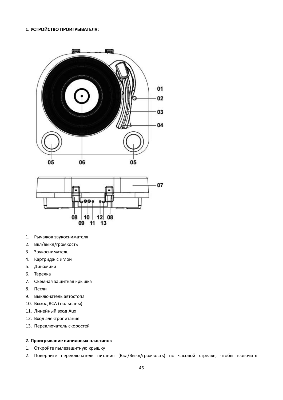#### **1. УСТРОЙСТВО ПРОИГРЫВАТЕЛЯ:**





- 1. Рычажок звукоснимателя
- 2. Вкл/выкл/громкость
- 3. Звукосниматель
- 4. Картридж с иглой
- 5. Динамики
- 6. Тарелка
- 7. Съемная защитная крышка
- 8. Петли
- 9. Выключатель автостопа
- 10. Выход RCA (тюльпаны)
- 11. Линейный вход Aux
- 12. Вход электропитания
- 13. Переключатель скоростей

#### **2. Проигрывание виниловых пластинок**

- 1. Откройте пылезащитную крышку
- 2. Поверните переключатель питания (Вкл/Выкл/громкость) по часовой стрелке, чтобы включить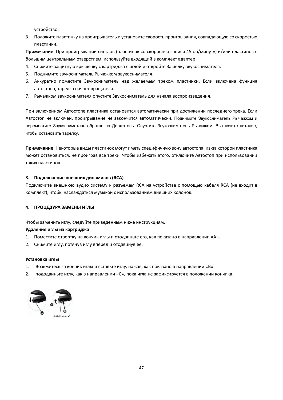устройство.

3. Положите пластинку на проигрыватель и установите скорость проигрывания, совпадающую со скоростью пластинки.

**Примечание:** При проигрывании синглов (пластинок со скоростью записи 45 об/минуту) и/или пластинок с большим центральным отверстием, используйте входящий в комплект адаптер.

- 4. Снимите защитную крышечку с картриджа с иглой и откройте Защелку звукоснимателя.
- 5. Поднимите звукосниматель Рычажком звукоснимателя.
- 6. Аккуратно поместите Звукосниматель над желаемым треком пластинки. Если включена функция автостопа, тарелка начнет вращаться.
- 7. Рычажком звукоснимателя опустите Звукосниматель для начала воспроизведения.

При включенном Автостопе пластинка остановится автоматически при достижении последнего трека. Если Автостоп не включен, проигрывание не закончится автоматически. Поднимите Звукосниматель Рычажком и переместите Звукосниматель обратно на Держатель. Опустите Звукосниматель Рычажком. Выключите питание, чтобы остановить тарелку.

**Примечание**: Некоторые виды пластинок могут иметь специфичную зону автостопа, из-за которой пластинка может остановиться, не проиграв все треки. Чтобы избежать этого, отключите Автостоп при использовании таких пластинок.

#### **3. Подключение внешних динамиков (RCA)**

Подключите внешнюю аудио систему к разъемам RCA на устройстве с помощью кабеля RCA (не входит в комплект), чтобы наслаждаться музыкой с использованием внешних колонок.

#### **4. ПРОЦЕДУРА ЗАМЕНЫ ИГЛЫ**

Чтобы заменить иглу, следуйте приведенным ниже инструкциям.

#### **Удаление иглы из картриджа**

- 1. Поместите отвертку на кончик иглы и отодвиньте его, как показано в направлении «A».
- 2. Снимите иглу, потянув иглу вперед и отодвинув ее.

#### **Установка иглы**

- 1. Возьмитесь за кончик иглы и вставьте иглу, нажав, как показано в направлении «B».
- 2. пододвиньте иглу, как в направлении «C», пока игла не зафиксируется в положении кончика.

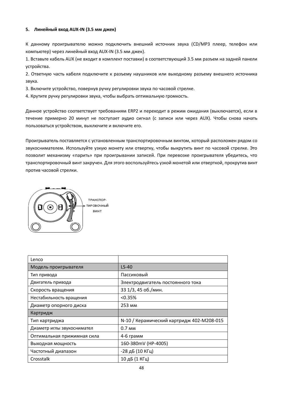#### **5. Линейный вход AUX-IN (3.5 мм джек)**

К данному проигрывателю можно подключить внешний источник звука (CD/MP3 плеер, телефон или компьютер) через линейный вход AUX-IN (3.5 мм джек).

1. Вставьте кабель AUX (не входит в комплект поставки) в соответствующий 3.5 мм разъем на задней панели устройства.

2. Ответную часть кабеля подключите к разъему наушников или выходному разъему внешнего источника звука.

3. Включите устройство, повернув ручку регулировки звука по часовой стрелке.

4. Крутите ручку регулировки звука, чтобы выбрать оптимальную громкость.

Данное устройство соответствует требованиям ERP2 и переходит в режим ожидания (выключается), если в течение примерно 20 минут не поступает аудио сигнал (с записи или через AUX). Чтобы снова начать пользоваться устройством, выключите и включите его.

Проигрыватель поставляется с установленным транспортировочным винтом, который расположен рядом со звукоснимателем. Используйте узкую монету или отвертку, чтобы выкрутить винт по часовой стрелке. Это позволит механизму «парить» при проигрывании записей. При перевозке проигрывателя убедитесь, что транспортировочный винт закручен. Для этого воспользуйтесь узкой монетой или отверткой, прокрутив винт против часовой стрелки.



| Lenco                      |                                           |
|----------------------------|-------------------------------------------|
| Модель проигрывателя       | $LS-40$                                   |
| Тип привода                | Пассиковый                                |
| Двигатель привода          | Электродвигатель постоянного тока         |
| Скорость вращения          | 33 1/3, 45 об./мин.                       |
| Нестабильность вращения    | < 0.35%                                   |
| Диаметр опорного диска     | 253 MM                                    |
| Картридж                   |                                           |
| Тип картриджа              | N-10 / Керамический картридж 402-M208-015 |
| Диаметр иглы звукоснимател | 0.7 MM                                    |
| Оптимальная прижимная сила | 4-6 грамм                                 |
| Выходная мощность          | 160-380mV (HP-4005)                       |
| Частотный диапазон         | -28 дБ (10 КГц)                           |
|                            | 10 дБ (1 КГц)                             |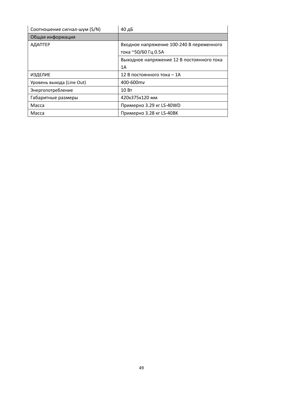| Соотношение сигнал-шум (S/N) | 40 дБ                                     |
|------------------------------|-------------------------------------------|
| Общая информация             |                                           |
| <b>АДАПТЕР</b>               | Входное напряжение 100-240 В переменного  |
|                              | тока ~50/60 Гц 0.5А                       |
|                              | Выходное напряжение 12 В постоянного тока |
|                              | 1A                                        |
| <b>ИЗДЕЛИЕ</b>               | 12 В постоянного тока - 1А                |
| Уровень выхода (Line Out)    | 400-600mv                                 |
| Энергопотребление            | 10B                                       |
| Габаритные размеры           | 420x375x120 MM                            |
| Macca                        | Примерно 3.29 кг LS-40WD                  |
| Macca                        | Примерно 3.28 кг LS-40BK                  |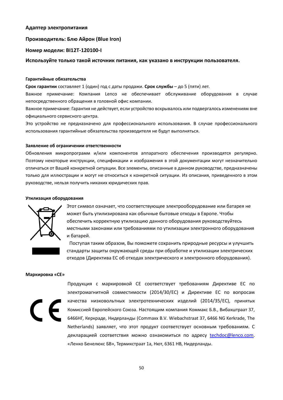#### **Адаптер электропитания**

#### **Производитель: Блю Айрон (Blue Iron)**

#### **Номер модели: BI12T-120100-I**

#### **Используйте только такой источник питания, как указано в инструкции пользователя.**

#### **Гарантийные обязательства**

**Срок гарантии** составляет 1 (один) год с даты продажи. **Срок службы** – до 5 (пяти) лет.

Важное примечание: Компания Lenco не обеспечивает обслуживание оборудования в случае непосредственного обращения в головной офис компании.

Важное примечание: Гарантия не действует, если устройство вскрывалось или подвергалось изменениям вне официального сервисного центра.

Это устройство не предназначено для профессионального использования. В случае профессионального использования гарантийные обязательства производителя не будут выполняться.

#### **Заявление об ограничении ответственности**

Обновления микропрограмм и/или компонентов аппаратного обеспечения производятся регулярно. Поэтому некоторые инструкции, спецификации и изображения в этой документации могут незначительно отличаться от Вашей конкретной ситуации. Все элементы, описанные в данном руководстве, предназначены только для иллюстрации и могут не относиться к конкретной ситуации. Из описания, приведенного в этом руководстве, нельзя получить никаких юридических прав.

#### **Утилизация оборудования**



Этот символ означает, что соответствующее электрооборудование или батарея не может быть утилизирована как обычные бытовые отходы в Европе. Чтобы обеспечить корректную утилизацию данного оборудования руководствуйтесь местными законами или требованиями по утилизации электронного оборудования и батарей.

Поступая таким образом, Вы поможете сохранить природные ресурсы и улучшить стандарты защиты окружающей среды при обработке и утилизации электрических отходов (Директива ЕС об отходах электрического и электронного оборудования).

#### **Маркировка «CE»**

Продукция с маркировкой CE соответствует требованиям Директиве ЕС по электромагнитной совместимости (2014/30/EС) и Директиве ЕС по вопросам качества низковольтных электротехнических изделий (2014/35/EС), принятых Комиссией Европейского Союза. Настоящим компания Коммакс Б.В., Вибахштраат 37, 6466НГ, Керкраде, Нидерланды (Commaxx B.V. Wiebachstraat 37, 6466 NG Kerkrade, The Netherlands) заявляет, что этот продукт соответствует основным требованиям. С декларацией соответствия можно ознакомиться по адресу [techdoc@lenco.com.](mailto:techdoc@lenco.com) «Ленко Бенелюкс БВ», Термикстраат 1а, Нют, 6361 HB, Нидерланды.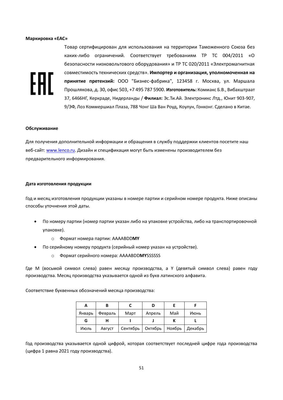#### **Маркировка «EAC»**

# FAT

Товар сертифицирован для использования на территории Таможенного Союза без каких-либо ограничений. Соответствует требованиям ТР ТС 004/2011 «О безопасности низковольтового оборудования» и ТР ТС 020/2011 «Электромагнитная совместимость технических средств». **Импортер и организация, уполномоченная на принятие претензий:** ООО "Бизнес-фабрика", 123458 г. Москва, ул. Маршала Прошлякова, д. 30, офис 503, +7 495 787 5900. **Изготовитель:** Коммакс Б.В., Вибахштраат 37, 6466НГ, Керкраде, Нидерланды / **Филиал:** Эс.Ти.Ай. Электроникс Лтд., Юнит 903-907, 9/ЭФ, Лоз Коммершиал Плаза, 788 Чонг Ша Ван Роуд, Коулун, Гонконг. Сделано в Китае.

#### **Обслуживание**

Для получения дополнительной информации и обращения в службу поддержки клиентов посетите наш веб-сайт: [www.lenco.ru.](http://www.lenco.ru/) Дизайн и спецификация могут быть изменены производителем без предварительного информирования.

#### **Дата изготовления продукции**

Год и месяц изготовления продукции указаны в номере партии и серийном номере продукта. Ниже описаны способы уточнения этой даты.

- По номеру партии (номер партии указан либо на упаковке устройства, либо на транспортировочной упаковке).
	- o Формат номера партии: AAAABDD**MY**
- По серийному номеру продукта (серийный номер указан на устройстве).
	- o Формат серийного номера: AAAABDD**MY**SSSSSS

Где M (восьмой символ слева) равен месяцу производства, а Y (девятый символ слева) равен году производства. Месяц производства указывается одной из букв латинского алфавита.

Соответствие буквенных обозначений месяца производства:

| А      | В       |          |         |        |         |
|--------|---------|----------|---------|--------|---------|
| Январь | Февраль | Март     | Апрель  | Май    | Июнь    |
| G      |         |          |         |        |         |
| Июль   | Август  | Сентябрь | Октябрь | Ноябрь | Декабрь |

Год производства указывается одной цифрой, которая соответствует последней цифре года производства (цифра 1 равна 2021 году производства).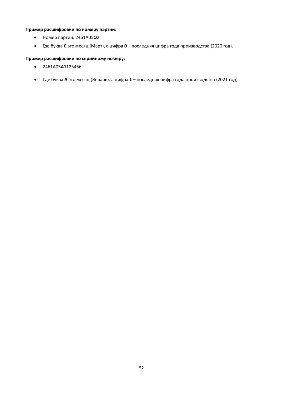#### **Пример расшифровки по номеру партии:**

- Номер партии: 2461A05**C0**
- Где буква **C** это месяц (Март), а цифра **0** последняя цифра года производства (2020 год).

#### **Пример расшифровки по серийному номеру:**

- 2461A05**A1**123456
- Где буква **A** это месяц (Январь), а цифра **1** последняя цифра года производства (2021 год).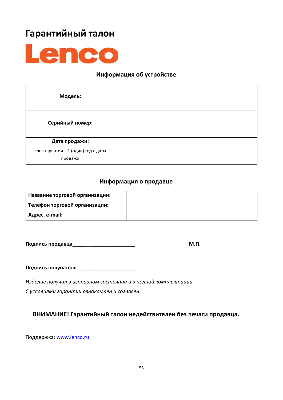## **Гарантийный талон**



### **Информация об устройстве**

| Модель:                                        |  |
|------------------------------------------------|--|
| Серийный номер:                                |  |
| Дата продажи:                                  |  |
| срок гарантии - 1 (один) год с даты<br>продажи |  |

#### **Информация о продавце**

| Название торговой организации: |  |
|--------------------------------|--|
| Телефон торговой организации:  |  |
| <sup>1</sup> Адрес, e-mail:    |  |

**Подпись продавца\_\_\_\_\_\_\_\_\_\_\_\_\_\_\_\_\_\_\_\_\_\_ М.П.**

**Подпись покупателя\_\_\_\_\_\_\_\_\_\_\_\_\_\_\_\_\_\_\_\_\_**

*Изделие получил в исправном состоянии и в полной комплектации.* 

*С условиями гарантии ознакомлен и согласен.* 

#### **ВНИМАНИЕ! Гарантийный талон недействителен без печати продавца.**

Поддержка: [www.lenco.ru](http://www.lenco.ru/)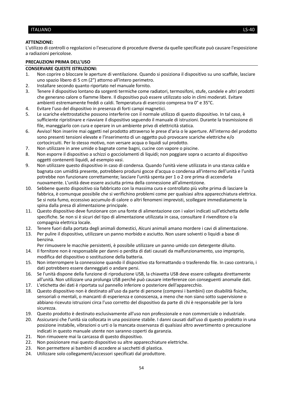#### <span id="page-53-0"></span>ITALIANO LS-40

#### **ATTENZIONE:**

L'utilizzo di controlli o regolazioni o l'esecuzione di procedure diverse da quelle specificate può causare l'esposizione a radiazioni pericolose.

#### **PRECAUZIONI PRIMA DELL'USO**

#### **CONSERVARE QUESTE ISTRUZIONI:**

- 1. Non coprire o bloccare le aperture di ventilazione. Quando si posiziona il dispositivo su uno scaffale, lasciare uno spazio libero di 5 cm (2") attorno all'intero perimetro.
- 2. Installare secondo quanto riportato nel manuale fornito.
- 3. Tenere il dispositivo lontano da sorgenti termiche come radiatori, termosifoni, stufe, candele e altri prodotti che generano calore o fiamme libere. Il dispositivo può essere utilizzato solo in climi moderati. Evitare ambienti estremamente freddi o caldi. Temperatura di esercizio compresa tra 0° e 35°C.
- 4. Evitare l'uso del dispositivo in presenza di forti campi magnetici.
- 5. Le scariche elettrostatiche possono interferire con il normale utilizzo di questo dispositivo. In tal caso, è sufficiente ripristinare e riavviare il dispositivo seguendo il manuale di istruzioni. Durante la trasmissione di file, maneggiarlo con cura e operare in un ambiente privo di elettricità statica.
- 6. Avviso! Non inserire mai oggetti nel prodotto attraverso le prese d'aria o le aperture. All'interno del prodotto sono presenti tensioni elevate e l'inserimento di un oggetto può provocare scariche elettriche e/o cortocircuiti. Per lo stesso motivo, non versare acqua o liquidi sul prodotto.
- 7. Non utilizzare in aree umide o bagnate come bagni, cucine con vapore o piscine.
- 8. Non esporre il dispositivo a schizzi o gocciolamenti di liquidi; non poggiare sopra o accanto al dispositivo oggetti contenenti liquidi, ad esempio vasi.
- 9. Non utilizzare questo dispositivo in caso di condensa. Quando l'unità viene utilizzata in una stanza calda e bagnata con umidità presente, potrebbero prodursi gocce d'acqua o condensa all'interno dell'unità e l'unità potrebbe non funzionare correttamente; lasciare l'unità spenta per 1 o 2 ore prima di accenderla nuovamente. L'unità deve essere asciutta prima della connessione all'alimentzione.
- 10. Sebbene questo dispositivo sia fabbricato con la massima cura e controllato più volte prima di lasciare la fabbrica, è comunque possibile che si verifichino problemi come per qualsiasi altra apparecchiatura elettrica. Se si nota fumo, eccessivo accumulo di calore o altri fenomeni imprevisti, scollegare immediatamente la spina dalla presa di alimentazione principale.
- 11. Questo dispositivo deve funzionare con una fonte di alimentazione con i valori indicati sull'etichetta delle specifiche. Se non si è sicuri del tipo di alimentazione utilizzata in casa, consultare il rivenditore o la compagnia elettrica locale.
- 12. Tenere fuori dalla portata degli animali domestici, Alcuni animali amano mordere i cavi di alimentazione.
- 13. Per pulire il dispositivo, utilizzare un panno morbido e asciutto. Non usare solventi o liquidi a base di benzina.
	- Per rimuovere le macchie persistenti, è possibile utilizzare un panno umido con detergente diluito.
- 14. Il fornitore non è responsabile per danni o perdita di dati causati da malfunzionamento, uso improprio, modifica del dispositivo o sostituzione della batteria.
- 15. Non interrompere la connessione quando il dispositivo sta formattando o trasferendo file. In caso contrario, i dati potrebbero essere danneggiati o andare persi.
- 16. Se l'unità dispone della funzione di riproduzione USB, la chiavetta USB deve essere collegata direttamente all'unità. Non utilizzare una prolunga USB perché può causare interferenze con conseguenti anomalie dati.
- 17. L'etichetta dei dati è riportata sul pannello inferiore o posteriore dell'apparecchio.
- 18. Questo dispositivo non è destinato all'uso da parte di persone (compresi i bambini) con disabilità fisiche, sensoriali o mentali, o mancanti di esperienza e conoscenza, a meno che non siano sotto supervisione o abbiano ricevuto istruzioni circa l'uso corretto del dispositivo da parte di chi è responsabile per la loro sicurezza.
- 19. Questo prodotto è destinato esclusivamente all'uso non professionale e non commerciale o industriale.
- 20. Assicurarsi che l'unità sia collocata in una posizione stabile. I danni causati dall'uso di questo prodotto in una posizione instabile, vibrazioni o urti o la mancata osservanza di qualsiasi altro avvertimento o precauzione indicati in questo manuale utente non saranno coperti da garanzia.
- 21. Non rimuovere mai la carcassa di questo dispositivo.
- 22. Non posizionare mai questo dispositivo su altre apparecchiature elettriche.
- 23. Non permettere ai bambini di accedere ai sacchetti di plastica.
- 24. Utilizzare solo collegamenti/accessori specificati dal produttore.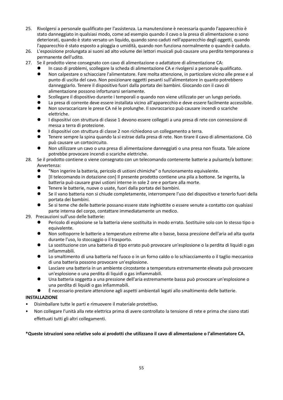- 25. Rivolgersi a personale qualificato per l'assistenza. La manutenzione è necessaria quando l'apparecchio è stato danneggiato in qualsiasi modo, come ad esempio quando il cavo o la presa di alimentazione o sono deteriorati, quando è stato versato un liquido, quando sono caduti nell'apparecchio degli oggetti, quando l'apparecchio è stato esposto a pioggia o umidità, quando non funziona normalmente o quando è caduto.
- 26. L'esposizione prolungata ai suoni ad alto volume dei lettori musicali può causare una perdita temporanea o permanente dell'udito.
- 27. Se il prodotto viene consegnato con cavo di alimentazione o adattatore di alimentazione CA:
	- ⚫ In caso di problemi, scollegare la scheda di alimentazione CA e rivolgersi a personale qualificato.
	- ⚫ Non calpestare o schiacciare l'alimentatore. Fare molta attenzione, in particolare vicino alle prese e al punto di uscita del cavo. Non posizionare oggetti pesanti sull'alimentatore in quanto potrebbero danneggiarlo. Tenere il dispositivo fuori dalla portata dei bambini. Giocando con il cavo di alimentazione possono infortunarsi seriamente.
	- ⚫ Scollegare il dispositivo durante i temporali o quando non viene utilizzato per un lungo periodo.
	- La presa di corrente deve essere installata vicino all'apparecchio e deve essere facilmente accessibile.
	- ⚫ Non sovraccaricare le prese CA né le prolunghe. Il sovraccarico può causare incendi o scariche elettriche.
	- ⚫ I dispositivi con struttura di classe 1 devono essere collegati a una presa di rete con connessione di messa a terra di protezione.
	- I dispositivi con struttura di classe 2 non richiedono un collegamento a terra.
	- ⚫ Tenere sempre la spina quando la si estrae dalla presa di rete. Non tirare il cavo di alimentazione. Ciò può causare un cortocircuito.
	- ⚫ Non utilizzare un cavo o una presa di alimentazione danneggiati o una presa non fissata. Tale azione potrebbe provocare incendi o scariche elettriche.
- 28. Se il prodotto contiene o viene consegnato con un telecomando contenente batterie a pulsante/a bottone: Avvertenza:
	- ⚫ "Non ingerire la batteria, pericolo di ustioni chimiche" o funzionamento equivalente.
	- ⚫ [Il telecomando in dotazione con] Il presente prodotto contiene una pila a bottone. Se ingerita, la batteria può causare gravi ustioni interne in sole 2 ore e portare alla morte.
	- ⚫ Tenere le batterie, nuove o usate, fuori dalla portata dei bambini.
	- ⚫ Se il vano batteria non si chiude completamente, interrompere l'uso del dispositivo e tenerlo fuori della portata dei bambini.
	- Se si teme che delle batterie possano essere state inghiottite o essere venute a contatto con qualsiasi parte interna del corpo, contattare immediatamente un medico.

29. Precauzioni sull'uso delle batterie:

- ⚫ Pericolo di esplosione se la batteria viene sostituita in modo errato. Sostituire solo con lo stesso tipo o equivalente.
- ⚫ Non sottoporre le batterie a temperature estreme alte o basse, bassa pressione dell'aria ad alta quota durante l'uso, lo stoccaggio o il trasporto.
- ⚫ La sostituzione con una batteria di tipo errato può provocare un'esplosione o la perdita di liquidi o gas infiammabili.
- Lo smaltimento di una batteria nel fuoco o in un forno caldo o lo schiacciamento o il taglio meccanico di una batteria possono provocare un'esplosione.
- ⚫ Lasciare una batteria in un ambiente circostante a temperatura estremamente elevata può provocare un'esplosione o una perdita di liquidi o gas infiammabili.
- ⚫ Una batteria soggetta a una pressione dell'aria estremamente bassa può provocare un'esplosione o una perdita di liquidi o gas infiammabili.
- ⚫ È necessario prestare attenzione agli aspetti ambientali legati allo smaltimento delle batterie.

#### **INSTALLAZIONE**

- Disimballare tutte le parti e rimuovere il materiale protettivo.
- Non collegare l'unità alla rete elettrica prima di avere controllato la tensione di rete e prima che siano stati effettuati tutti gli altri collegamenti.

#### **\*Queste istruzioni sono relative solo ai prodotti che utilizzano il cavo di alimentazione o l'alimentatore CA.**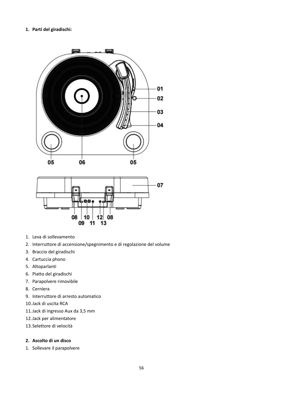#### **1. Parti del giradischi:**





- 1. Leva di sollevamento
- 2. Interruttore di accensione/spegnimento e di regolazione del volume
- 3. Braccio del giradischi
- 4. Cartuccia phono
- 5. Altoparlanti
- 6. Piatto del giradischi
- 7. Parapolvere rimovibile
- 8. Cerniera
- 9. Interruttore di arresto automatico
- 10.Jack di uscita RCA
- 11.Jack di ingresso Aux da 3,5 mm
- 12.Jack per alimentatore
- 13.Selettore di velocità

#### **2. Ascolto di un disco**

1. Sollevare il parapolvere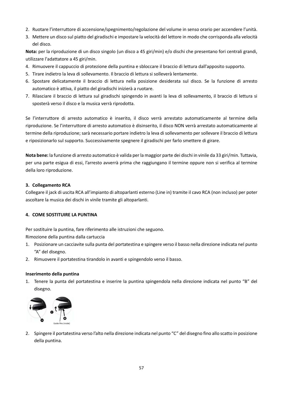- 2. Ruotare l'interruttore di accensione/spegnimento/regolazione del volume in senso orario per accendere l'unità.
- 3. Mettere un disco sul piatto del giradischi e impostare la velocità del lettore in modo che corrisponda alla velocità del disco.

**Nota:** per la riproduzione di un disco singolo (un disco a 45 giri/min) e/o dischi che presentano fori centrali grandi, utilizzare l'adattatore a 45 giri/min.

- 4. Rimuovere il cappuccio di protezione della puntina e sbloccare il braccio di lettura dall'apposito supporto.
- 5. Tirare indietro la leva di sollevamento. Il braccio di lettura si solleverà lentamente.
- 6. Spostare delicatamente il braccio di lettura nella posizione desiderata sul disco. Se la funzione di arresto automatico è attiva, il piatto del giradischi inizierà a ruotare.
- 7. Rilasciare il braccio di lettura sul giradischi spingendo in avanti la leva di sollevamento, il braccio di lettura si sposterà verso il disco e la musica verrà riprodotta.

Se l'interruttore di arresto automatico è inserito, il disco verrà arrestato automaticamente al termine della riproduzione. Se l'interruttore di arresto automatico è disinserito, il disco NON verrà arrestato automaticamente al termine della riproduzione; sarà necessario portare indietro la leva disollevamento per sollevare il braccio di lettura e riposizionarlo sul supporto. Successivamente spegnere il giradischi per farlo smettere di girare.

**Nota bene:** la funzione di arresto automatico è valida per la maggior parte dei dischi in vinile da 33 giri/min. Tuttavia, per una parte esigua di essi, l'arresto avverrà prima che raggiungano il termine oppure non si verifica al termine della loro riproduzione.

#### **3. Collegamento RCA**

Collegare il jack di uscita RCA all'impianto di altoparlanti esterno (Line in) tramite il cavo RCA (non incluso) per poter ascoltare la musica dei dischi in vinile tramite gli altoparlanti.

#### **4. COME SOSTITUIRE LA PUNTINA**

Per sostituire la puntina, fare riferimento alle istruzioni che seguono.

Rimozione della puntina dalla cartuccia

- 1. Posizionare un cacciavite sulla punta del portatestina e spingere verso il basso nella direzione indicata nel punto "A" del disegno.
- 2. Rimuovere il portatestina tirandolo in avanti e spingendolo verso il basso.

#### **Inserimento della puntina**

1. Tenere la punta del portatestina e inserire la puntina spingendola nella direzione indicata nel punto "B" del disegno.



2. Spingere il portatestina verso l'alto nella direzione indicata nel punto "C" del disegno fino allo scatto in posizione della puntina.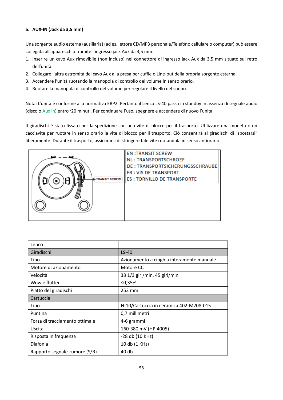#### **5. AUX-IN (Jack da 3,5 mm)**

Una sorgente audio esterna (ausiliaria) (ad es. lettore CD/MP3 personale/Telefono cellulare o computer) può essere collegata all'apparecchio tramite l'ingresso jack Aux da 3,5 mm.

- 1. Inserire un cavo Aux rimovibile (non incluso) nel connettore di ingresso jack Aux da 3,5 mm situato sul retro dell'unità.
- 2. Collegare l'altra estremità del cavo Aux alla presa per cuffie o Line-out della propria sorgente esterna.
- 3. Accendere l'unità ruotando la manopola di controllo del volume in senso orario.
- 4. Ruotare la manopola di controllo del volume per regolare il livello del suono.

Nota: L'unità è conforme alla normativa ERP2. Pertanto il Lenco LS-40 passa in standby in assenza di segnale audio (disco o Aux in) entro~20 minuti. Per continuare l'uso, spegnere e accendere di nuovo l'unità.

Il giradischi è stato fissato per la spedizione con una vite di blocco per il trasporto. Utilizzare una moneta o un cacciavite per ruotare in senso orario la vite di blocco per il trasporto. Ciò consentirà al giradischi di "spostarsi" liberamente. Durante il trasporto, assicurarsi di stringere tale vite ruotandola in senso antiorario.



| Lenco                          |                                           |
|--------------------------------|-------------------------------------------|
| Giradischi                     | $LS-40$                                   |
| Tipo                           | Azionamento a cinghia interamente manuale |
| Motore di azionamento          | Motore CC                                 |
| Velocità                       | 33 1/3 giri/min, 45 giri/min              |
| Wow e flutter                  | ≤0,35%                                    |
| Piatto del giradischi          | 253 mm                                    |
| Cartuccia                      |                                           |
| Tipo                           | N-10/Cartuccia in ceramica 402-M208-015   |
| Puntina                        | 0,7 millimetri                            |
| Forza di tracciamento ottimale | 4-6 grammi                                |
| Uscita                         | 160-380 mV (HP-4005)                      |
| Risposta in frequenza          | -28 db (10 KHz)                           |
| Diafonia                       | 10 db (1 KHz)                             |
| Rapporto segnale-rumore (S/R)  | 40 db                                     |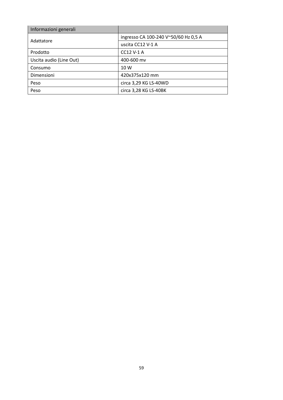| Informazioni generali   |                                      |
|-------------------------|--------------------------------------|
| Adattatore              | ingresso CA 100-240 V~50/60 Hz 0,5 A |
|                         | uscita CC12 V-1 A                    |
| Prodotto                | CC12 V-1 A                           |
| Uscita audio (Line Out) | 400-600 mv                           |
| Consumo                 | 10 W                                 |
| Dimensioni              | 420x375x120 mm                       |
| Peso                    | circa 3,29 KG LS-40WD                |
| Peso                    | circa 3,28 KG LS-40BK                |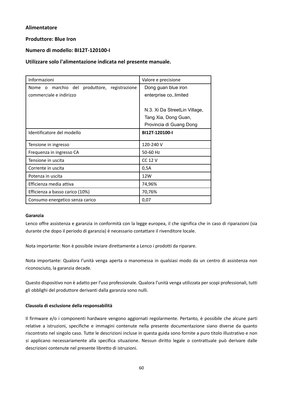#### **Alimentatore**

#### **Produttore: Blue Iron**

#### **Numero di modello: BI12T-120100-I**

#### **Utilizzare solo l'alimentazione indicata nel presente manuale.**

| Informazioni                                    | Valore e precisione           |
|-------------------------------------------------|-------------------------------|
| marchio del produttore, registrazione<br>Nome o | Dong guan blue iron           |
| commerciale e indirizzo                         | enterprise co, limited        |
|                                                 |                               |
|                                                 | N.3. Xi Da StreetLin Village, |
|                                                 | Tang Xia, Dong Guan,          |
|                                                 | Provincia di Guang Dong       |
| Identificatore del modello                      | BI12T-120100-I                |
|                                                 |                               |
| Tensione in ingresso                            | 120-240 V                     |
| Frequenza in ingresso CA                        | 50-60 Hz                      |
| Tensione in uscita                              | <b>CC 12 V</b>                |
| Corrente in uscita                              | 0,5A                          |
| Potenza in uscita                               | 12W                           |
| Efficienza media attiva                         | 74,96%                        |
| Efficienza a basso carico (10%)                 | 70,76%                        |
| Consumo energetico senza carico                 | 0,07                          |

#### **Garanzia**

Lenco offre assistenza e garanzia in conformità con la legge europea, il che significa che in caso di riparazioni (sia durante che dopo il periodo di garanzia) è necessario contattare il rivenditore locale.

Nota importante: Non è possibile inviare direttamente a Lenco i prodotti da riparare.

Nota importante: Qualora l'unità venga aperta o manomessa in qualsiasi modo da un centro di assistenza non riconosciuto, la garanzia decade.

Questo dispositivo non è adatto per l'uso professionale. Qualora l'unità venga utilizzata per scopi professionali, tutti gli obblighi del produttore derivanti dalla garanzia sono nulli.

#### **Clausola di esclusione della responsabilità**

Il firmware e/o i componenti hardware vengono aggiornati regolarmente. Pertanto, è possibile che alcune parti relative a istruzioni, specifiche e immagini contenute nella presente documentazione siano diverse da quanto riscontrato nel singolo caso. Tutte le descrizioni incluse in questa guida sono fornite a puro titolo illustrativo e non si applicano necessariamente alla specifica situazione. Nessun diritto legale o contrattuale può derivare dalle descrizioni contenute nel presente libretto di istruzioni.